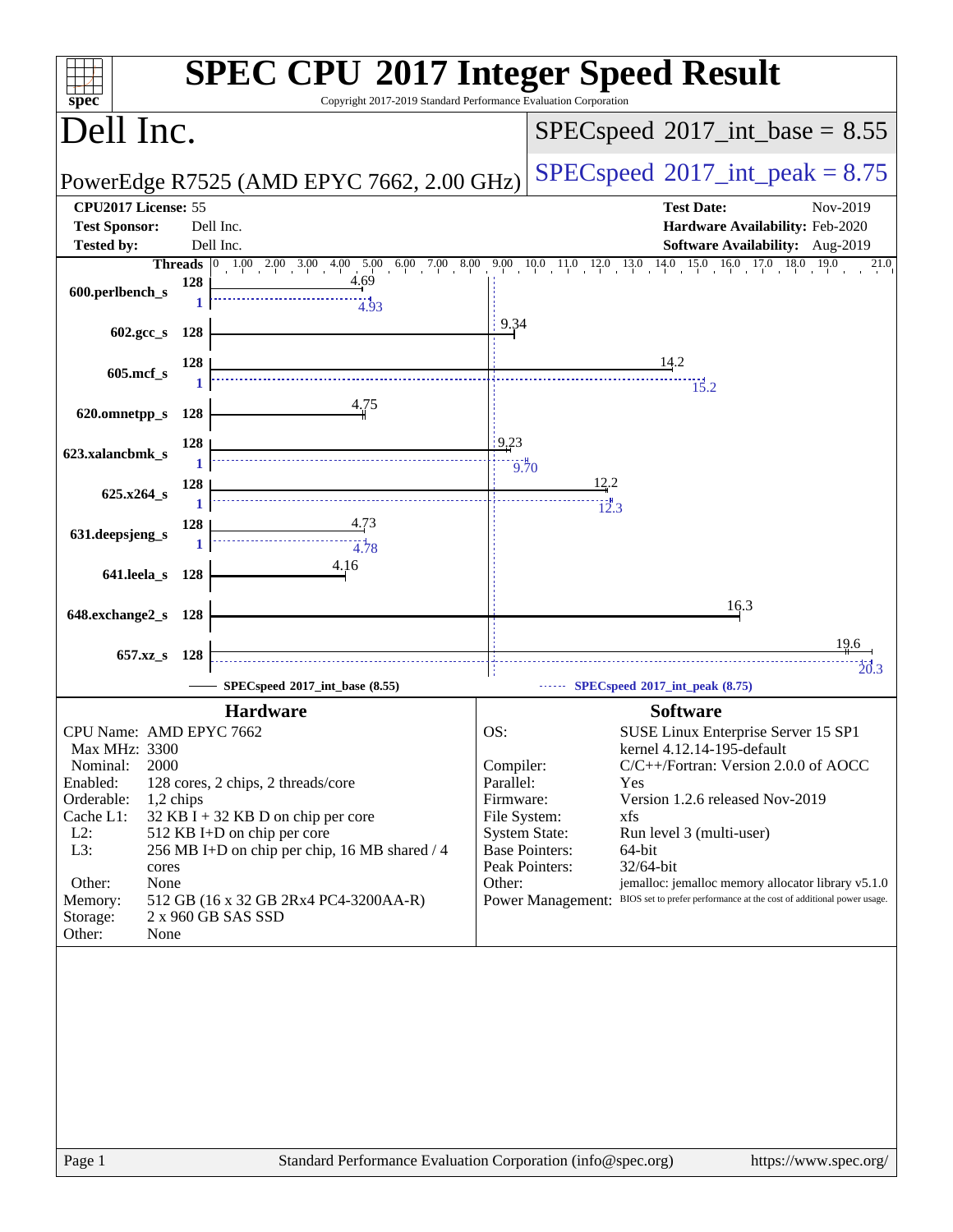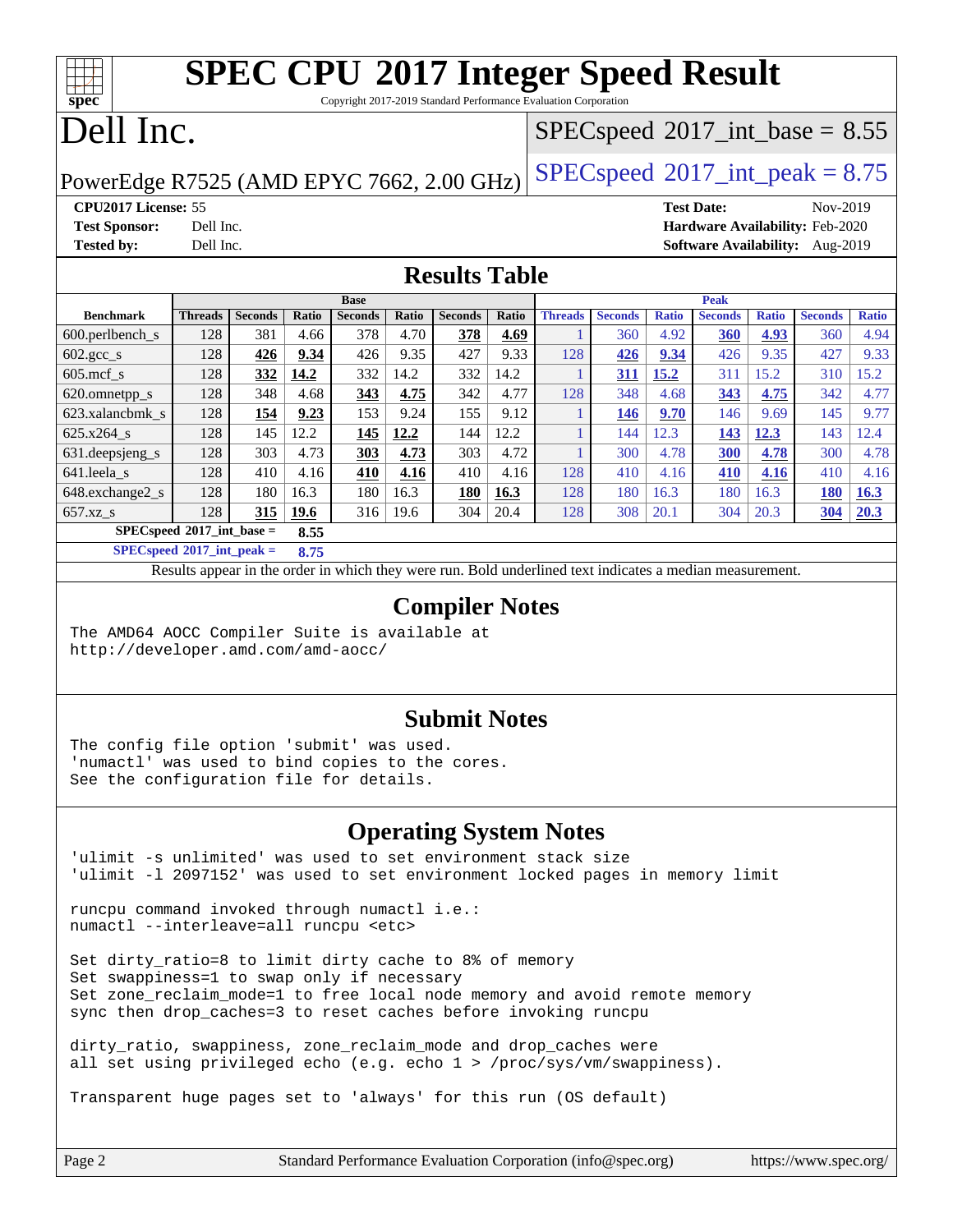Copyright 2017-2019 Standard Performance Evaluation Corporation

## Dell Inc.

**[spec](http://www.spec.org/)**

#### $SPECspeed^{\circledcirc}2017\_int\_base = 8.55$  $SPECspeed^{\circledcirc}2017\_int\_base = 8.55$

PowerEdge R7525 (AMD EPYC 7662, 2.00 GHz)  $\left|$  [SPECspeed](http://www.spec.org/auto/cpu2017/Docs/result-fields.html#SPECspeed2017intpeak)®[2017\\_int\\_peak = 8](http://www.spec.org/auto/cpu2017/Docs/result-fields.html#SPECspeed2017intpeak).75

**[CPU2017 License:](http://www.spec.org/auto/cpu2017/Docs/result-fields.html#CPU2017License)** 55 **[Test Date:](http://www.spec.org/auto/cpu2017/Docs/result-fields.html#TestDate)** Nov-2019 **[Test Sponsor:](http://www.spec.org/auto/cpu2017/Docs/result-fields.html#TestSponsor)** Dell Inc. **[Hardware Availability:](http://www.spec.org/auto/cpu2017/Docs/result-fields.html#HardwareAvailability)** Feb-2020 **[Tested by:](http://www.spec.org/auto/cpu2017/Docs/result-fields.html#Testedby)** Dell Inc. **[Software Availability:](http://www.spec.org/auto/cpu2017/Docs/result-fields.html#SoftwareAvailability)** Aug-2019

#### **[Results Table](http://www.spec.org/auto/cpu2017/Docs/result-fields.html#ResultsTable)**

|                                     |                                     |                |             | <b>Base</b>    |       |                | <b>Peak</b> |                |                |              |                |              |                |              |
|-------------------------------------|-------------------------------------|----------------|-------------|----------------|-------|----------------|-------------|----------------|----------------|--------------|----------------|--------------|----------------|--------------|
| <b>Benchmark</b>                    | <b>Threads</b>                      | <b>Seconds</b> | Ratio       | <b>Seconds</b> | Ratio | <b>Seconds</b> | Ratio       | <b>Threads</b> | <b>Seconds</b> | <b>Ratio</b> | <b>Seconds</b> | <b>Ratio</b> | <b>Seconds</b> | <b>Ratio</b> |
| $600.$ perlbench $\mathsf{S}$       | 128                                 | 381            | 4.66        | 378            | 4.70  | 378            | 4.69        |                | 360            | 4.92         | 360            | 4.93         | 360            | 4.94         |
| $602 \text{.} \text{gcc}\text{.}$ s | 128                                 | 426            | 9.34        | 426            | 9.35  | 427            | 9.33        | 128            | 426            | 9.34         | 426            | 9.35         | 427            | 9.33         |
| $605$ .mcf s                        | 128                                 | 332            | 14.2        | 332            | 14.2  | 332            | 14.2        |                | 311            | 15.2         | 311            | 15.2         | 310            | 15.2         |
| 620.omnetpp_s                       | 128                                 | 348            | 4.68        | 343            | 4.75  | 342            | 4.77        | 128            | 348            | 4.68         | 343            | 4.75         | 342            | 4.77         |
| 623.xalancbmk s                     | 128                                 | 154            | 9.23        | 153            | 9.24  | 155            | 9.12        |                | 146            | 9.70         | 146            | 9.69         | 145            | 9.77         |
| 625.x264 s                          | 128                                 | 145            | 12.2        | 145            | 12.2  | 144            | 12.2        |                | 144            | 12.3         | 143            | 12.3         | 143            | 12.4         |
| 631.deepsjeng_s                     | 128                                 | 303            | 4.73        | 303            | 4.73  | 303            | 4.72        |                | 300            | 4.78         | 300            | 4.78         | 300            | 4.78         |
| 641.leela s                         | 128                                 | 410            | 4.16        | 410            | 4.16  | 410            | 4.16        | 128            | 410            | 4.16         | 410            | 4.16         | 410            | 4.16         |
| 648.exchange2 s                     | 128                                 | 180            | 16.3        | 180            | 16.3  | 180            | 16.3        | 128            | 180            | 16.3         | 180            | 16.3         | <b>180</b>     | 16.3         |
| $657.xz$ s                          | 128                                 | 315            | <b>19.6</b> | 316            | 19.6  | 304            | 20.4        | 128            | 308            | 20.1         | 304            | 20.3         | 304            | 20.3         |
|                                     | $SPECspeed*2017$ int base =<br>8.55 |                |             |                |       |                |             |                |                |              |                |              |                |              |

**[SPECspeed](http://www.spec.org/auto/cpu2017/Docs/result-fields.html#SPECspeed2017intpeak)[2017\\_int\\_peak =](http://www.spec.org/auto/cpu2017/Docs/result-fields.html#SPECspeed2017intpeak) 8.75**

Results appear in the [order in which they were run.](http://www.spec.org/auto/cpu2017/Docs/result-fields.html#RunOrder) Bold underlined text [indicates a median measurement](http://www.spec.org/auto/cpu2017/Docs/result-fields.html#Median).

#### **[Compiler Notes](http://www.spec.org/auto/cpu2017/Docs/result-fields.html#CompilerNotes)**

The AMD64 AOCC Compiler Suite is available at <http://developer.amd.com/amd-aocc/>

#### **[Submit Notes](http://www.spec.org/auto/cpu2017/Docs/result-fields.html#SubmitNotes)**

The config file option 'submit' was used. 'numactl' was used to bind copies to the cores. See the configuration file for details.

#### **[Operating System Notes](http://www.spec.org/auto/cpu2017/Docs/result-fields.html#OperatingSystemNotes)**

'ulimit -s unlimited' was used to set environment stack size 'ulimit -l 2097152' was used to set environment locked pages in memory limit

runcpu command invoked through numactl i.e.: numactl --interleave=all runcpu <etc>

Set dirty\_ratio=8 to limit dirty cache to 8% of memory Set swappiness=1 to swap only if necessary Set zone\_reclaim\_mode=1 to free local node memory and avoid remote memory sync then drop\_caches=3 to reset caches before invoking runcpu

dirty ratio, swappiness, zone reclaim mode and drop caches were all set using privileged echo (e.g. echo 1 > /proc/sys/vm/swappiness).

Transparent huge pages set to 'always' for this run (OS default)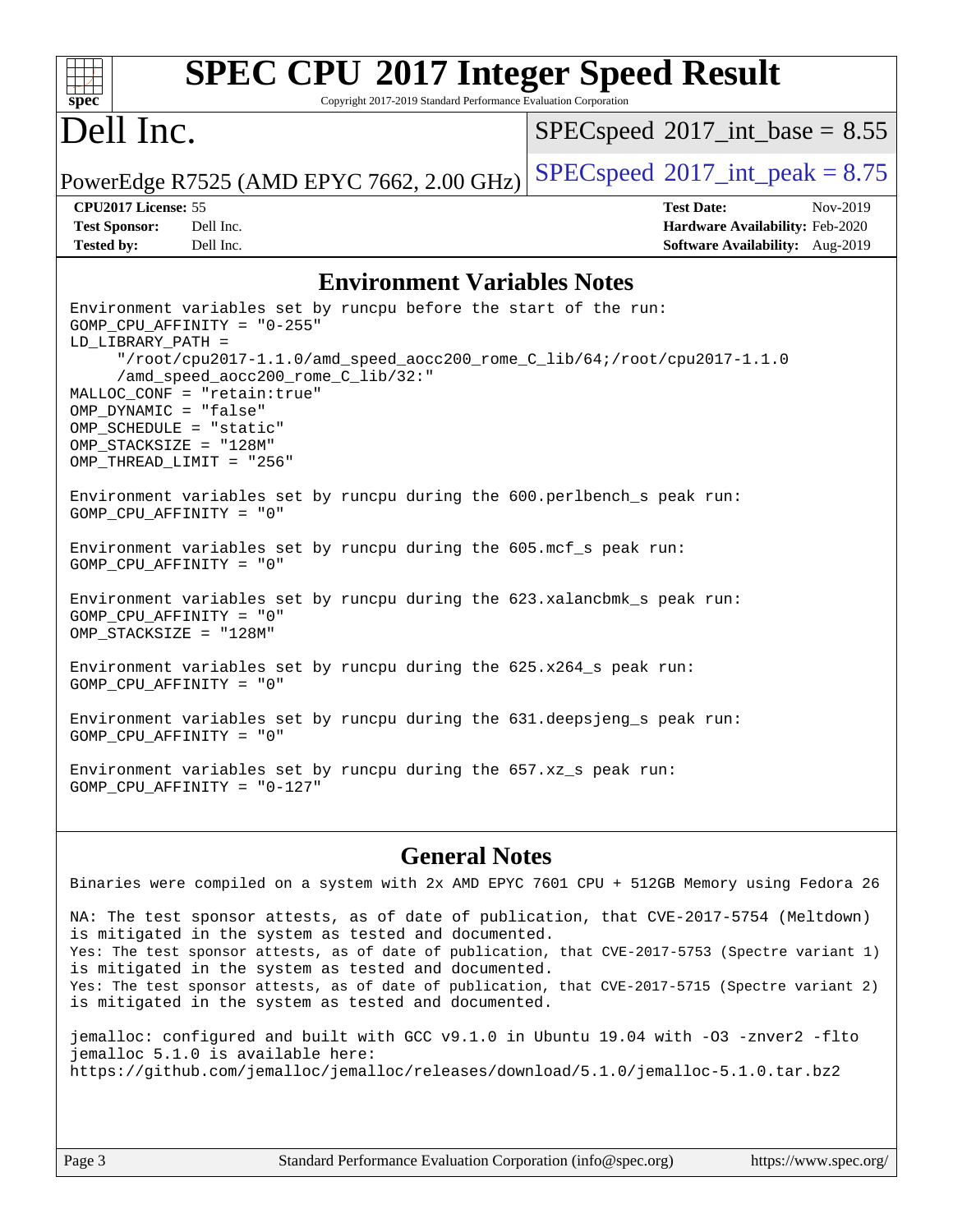#### **[spec](http://www.spec.org/) [SPEC CPU](http://www.spec.org/auto/cpu2017/Docs/result-fields.html#SPECCPU2017IntegerSpeedResult)[2017 Integer Speed Result](http://www.spec.org/auto/cpu2017/Docs/result-fields.html#SPECCPU2017IntegerSpeedResult)** Copyright 2017-2019 Standard Performance Evaluation Corporation Dell Inc. PowerEdge R7525 (AMD EPYC 7662, 2.00 GHz)  $\left|$  [SPECspeed](http://www.spec.org/auto/cpu2017/Docs/result-fields.html#SPECspeed2017intpeak)®[2017\\_int\\_peak = 8](http://www.spec.org/auto/cpu2017/Docs/result-fields.html#SPECspeed2017intpeak).75  $SPECspeed^{\circledcirc}2017\_int\_base = 8.55$  $SPECspeed^{\circledcirc}2017\_int\_base = 8.55$ **[CPU2017 License:](http://www.spec.org/auto/cpu2017/Docs/result-fields.html#CPU2017License)** 55 **[Test Date:](http://www.spec.org/auto/cpu2017/Docs/result-fields.html#TestDate)** Nov-2019 **[Test Sponsor:](http://www.spec.org/auto/cpu2017/Docs/result-fields.html#TestSponsor)** Dell Inc. **[Hardware Availability:](http://www.spec.org/auto/cpu2017/Docs/result-fields.html#HardwareAvailability)** Feb-2020 **[Tested by:](http://www.spec.org/auto/cpu2017/Docs/result-fields.html#Testedby)** Dell Inc. **[Software Availability:](http://www.spec.org/auto/cpu2017/Docs/result-fields.html#SoftwareAvailability)** Aug-2019 **[Environment Variables Notes](http://www.spec.org/auto/cpu2017/Docs/result-fields.html#EnvironmentVariablesNotes)** Environment variables set by runcpu before the start of the run: GOMP\_CPU\_AFFINITY = "0-255" LD\_LIBRARY\_PATH = "/root/cpu2017-1.1.0/amd\_speed\_aocc200\_rome\_C\_lib/64;/root/cpu2017-1.1.0 /amd\_speed\_aocc200\_rome\_C\_lib/32:" MALLOC\_CONF = "retain:true" OMP\_DYNAMIC = "false" OMP\_SCHEDULE = "static" OMP\_STACKSIZE = "128M" OMP\_THREAD\_LIMIT = "256" Environment variables set by runcpu during the 600.perlbench\_s peak run: GOMP\_CPU\_AFFINITY = "0" Environment variables set by runcpu during the 605.mcf\_s peak run: GOMP\_CPU\_AFFINITY = "0" Environment variables set by runcpu during the 623.xalancbmk\_s peak run: GOMP\_CPU\_AFFINITY = "0" OMP\_STACKSIZE = "128M" Environment variables set by runcpu during the 625.x264\_s peak run: GOMP\_CPU\_AFFINITY = "0" Environment variables set by runcpu during the 631.deepsjeng\_s peak run: GOMP\_CPU\_AFFINITY = "0" Environment variables set by runcpu during the 657.xz\_s peak run: GOMP\_CPU\_AFFINITY = "0-127"

#### **[General Notes](http://www.spec.org/auto/cpu2017/Docs/result-fields.html#GeneralNotes)** Binaries were compiled on a system with 2x AMD EPYC 7601 CPU + 512GB Memory using Fedora 26

NA: The test sponsor attests, as of date of publication, that CVE-2017-5754 (Meltdown) is mitigated in the system as tested and documented. Yes: The test sponsor attests, as of date of publication, that CVE-2017-5753 (Spectre variant 1) is mitigated in the system as tested and documented. Yes: The test sponsor attests, as of date of publication, that CVE-2017-5715 (Spectre variant 2) is mitigated in the system as tested and documented.

jemalloc: configured and built with GCC v9.1.0 in Ubuntu 19.04 with -O3 -znver2 -flto jemalloc 5.1.0 is available here: <https://github.com/jemalloc/jemalloc/releases/download/5.1.0/jemalloc-5.1.0.tar.bz2>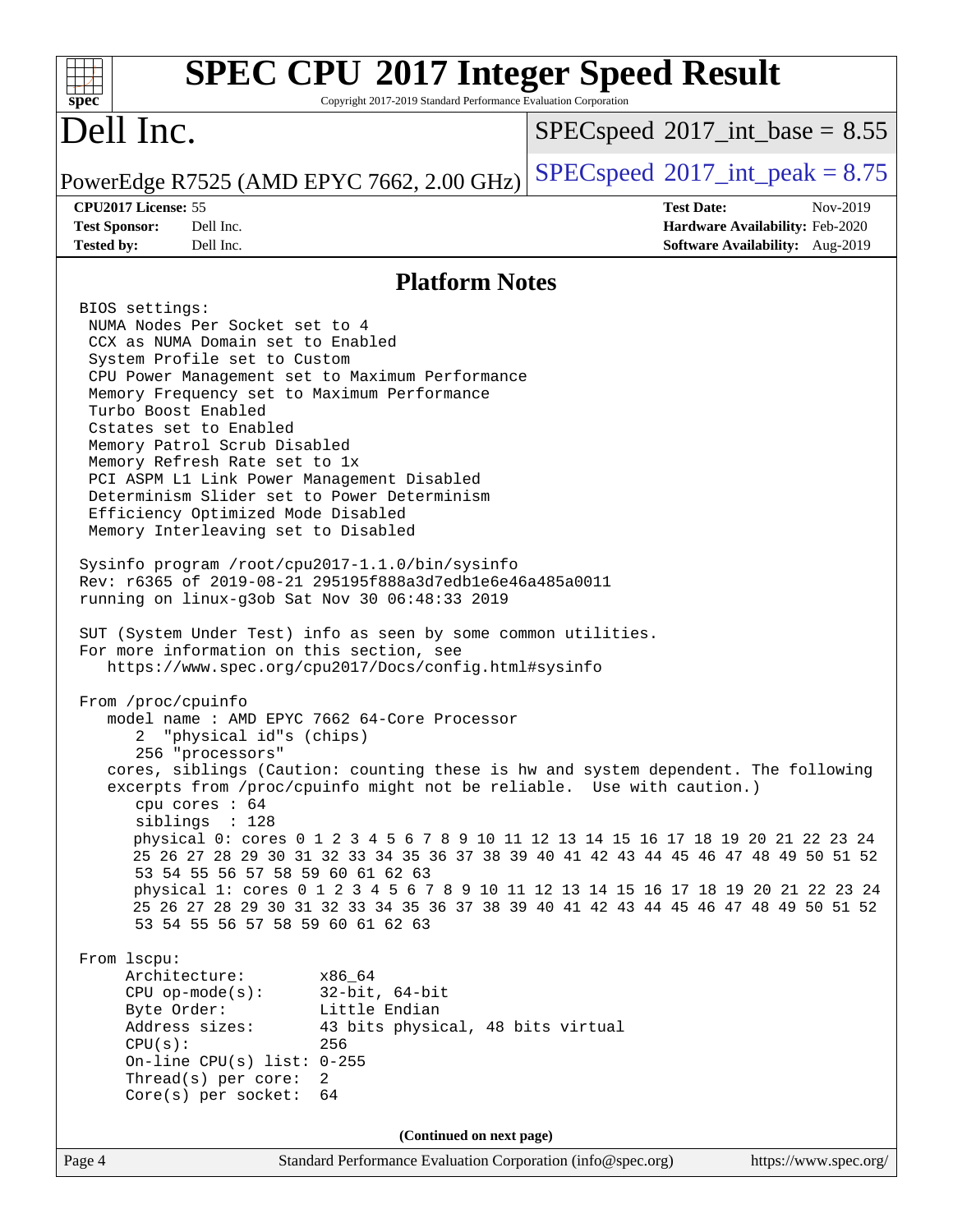| <b>SPEC CPU®2017 Integer Speed Result</b><br>spec <sup>®</sup>                                                                                                                                                                                                                                                                                                                                                                                                                                                                                                                                                                                                                                                                                                                                                                                                                                                                                                                                                                                                                                                                                                                                                                                                                                                                                                                                                                                                                                                                                                                                                                                                                                                                                                                                                                            | Copyright 2017-2019 Standard Performance Evaluation Corporation            |                                                             |                                                                    |                       |
|-------------------------------------------------------------------------------------------------------------------------------------------------------------------------------------------------------------------------------------------------------------------------------------------------------------------------------------------------------------------------------------------------------------------------------------------------------------------------------------------------------------------------------------------------------------------------------------------------------------------------------------------------------------------------------------------------------------------------------------------------------------------------------------------------------------------------------------------------------------------------------------------------------------------------------------------------------------------------------------------------------------------------------------------------------------------------------------------------------------------------------------------------------------------------------------------------------------------------------------------------------------------------------------------------------------------------------------------------------------------------------------------------------------------------------------------------------------------------------------------------------------------------------------------------------------------------------------------------------------------------------------------------------------------------------------------------------------------------------------------------------------------------------------------------------------------------------------------|----------------------------------------------------------------------------|-------------------------------------------------------------|--------------------------------------------------------------------|-----------------------|
| Dell Inc.                                                                                                                                                                                                                                                                                                                                                                                                                                                                                                                                                                                                                                                                                                                                                                                                                                                                                                                                                                                                                                                                                                                                                                                                                                                                                                                                                                                                                                                                                                                                                                                                                                                                                                                                                                                                                                 |                                                                            | $SPEC speed^{\circ}2017\_int\_base = 8.55$                  |                                                                    |                       |
| PowerEdge R7525 (AMD EPYC 7662, 2.00 GHz)                                                                                                                                                                                                                                                                                                                                                                                                                                                                                                                                                                                                                                                                                                                                                                                                                                                                                                                                                                                                                                                                                                                                                                                                                                                                                                                                                                                                                                                                                                                                                                                                                                                                                                                                                                                                 |                                                                            | $SPEC speed^{\circ}2017\_int\_peak = 8.75$                  |                                                                    |                       |
| CPU2017 License: 55                                                                                                                                                                                                                                                                                                                                                                                                                                                                                                                                                                                                                                                                                                                                                                                                                                                                                                                                                                                                                                                                                                                                                                                                                                                                                                                                                                                                                                                                                                                                                                                                                                                                                                                                                                                                                       |                                                                            |                                                             | <b>Test Date:</b>                                                  | Nov-2019              |
| <b>Test Sponsor:</b><br>Dell Inc.<br><b>Tested by:</b><br>Dell Inc.                                                                                                                                                                                                                                                                                                                                                                                                                                                                                                                                                                                                                                                                                                                                                                                                                                                                                                                                                                                                                                                                                                                                                                                                                                                                                                                                                                                                                                                                                                                                                                                                                                                                                                                                                                       |                                                                            |                                                             | Hardware Availability: Feb-2020<br>Software Availability: Aug-2019 |                       |
|                                                                                                                                                                                                                                                                                                                                                                                                                                                                                                                                                                                                                                                                                                                                                                                                                                                                                                                                                                                                                                                                                                                                                                                                                                                                                                                                                                                                                                                                                                                                                                                                                                                                                                                                                                                                                                           | <b>Platform Notes</b>                                                      |                                                             |                                                                    |                       |
| BIOS settings:<br>NUMA Nodes Per Socket set to 4<br>CCX as NUMA Domain set to Enabled<br>System Profile set to Custom<br>CPU Power Management set to Maximum Performance<br>Memory Frequency set to Maximum Performance<br>Turbo Boost Enabled<br>Cstates set to Enabled<br>Memory Patrol Scrub Disabled<br>Memory Refresh Rate set to 1x<br>PCI ASPM L1 Link Power Management Disabled<br>Determinism Slider set to Power Determinism<br>Efficiency Optimized Mode Disabled<br>Memory Interleaving set to Disabled<br>Sysinfo program /root/cpu2017-1.1.0/bin/sysinfo<br>Rev: r6365 of 2019-08-21 295195f888a3d7edble6e46a485a0011<br>running on linux-g3ob Sat Nov 30 06:48:33 2019<br>SUT (System Under Test) info as seen by some common utilities.<br>For more information on this section, see<br>https://www.spec.org/cpu2017/Docs/config.html#sysinfo<br>From /proc/cpuinfo<br>model name: AMD EPYC 7662 64-Core Processor<br>2<br>"physical id"s (chips)<br>256 "processors"<br>cores, siblings (Caution: counting these is hw and system dependent. The following<br>excerpts from /proc/cpuinfo might not be reliable. Use with caution.)<br>cpu cores : 64<br>siblings : 128<br>physical 0: cores 0 1 2 3 4 5 6 7 8 9 10 11 12 13 14 15 16 17 18 19 20 21 22 23 24<br>25 26 27 28 29 30 31 32 33 34 35 36 37 38 39 40 41 42 43 44 45 46 47 48 49 50 51 52<br>53 54 55 56 57 58 59 60 61 62 63<br>physical 1: cores 0 1 2 3 4 5 6 7 8 9 10 11 12 13 14 15 16 17 18 19 20 21 22 23 24<br>25 26 27 28 29 30 31 32 33 34 35 36 37 38 39 40 41 42 43 44 45 46 47 48 49 50 51 52<br>53 54 55 56 57 58 59 60 61 62 63<br>From lscpu:<br>Architecture:<br>x86 64<br>$CPU$ op-mode( $s$ ):<br>Byte Order:<br>Address sizes:<br>CPU(s):<br>256<br>On-line CPU(s) list: $0-255$<br>Thread(s) per core:<br>2<br>Core(s) per socket:<br>64 | $32$ -bit, $64$ -bit<br>Little Endian<br>43 bits physical, 48 bits virtual |                                                             |                                                                    |                       |
|                                                                                                                                                                                                                                                                                                                                                                                                                                                                                                                                                                                                                                                                                                                                                                                                                                                                                                                                                                                                                                                                                                                                                                                                                                                                                                                                                                                                                                                                                                                                                                                                                                                                                                                                                                                                                                           | (Continued on next page)                                                   |                                                             |                                                                    |                       |
| Page 4                                                                                                                                                                                                                                                                                                                                                                                                                                                                                                                                                                                                                                                                                                                                                                                                                                                                                                                                                                                                                                                                                                                                                                                                                                                                                                                                                                                                                                                                                                                                                                                                                                                                                                                                                                                                                                    |                                                                            | Standard Performance Evaluation Corporation (info@spec.org) |                                                                    | https://www.spec.org/ |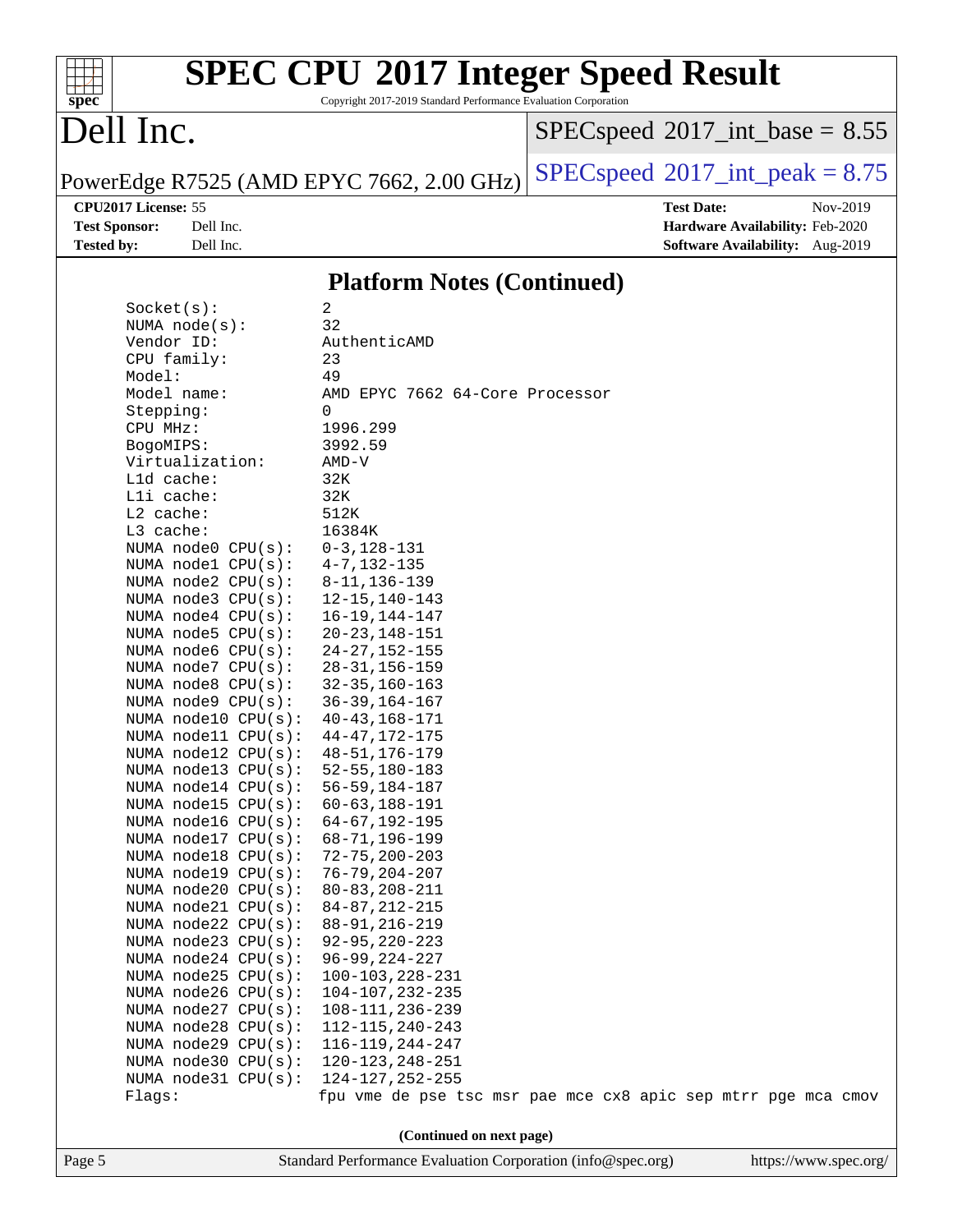# **[spec](http://www.spec.org/)**

# **[SPEC CPU](http://www.spec.org/auto/cpu2017/Docs/result-fields.html#SPECCPU2017IntegerSpeedResult)[2017 Integer Speed Result](http://www.spec.org/auto/cpu2017/Docs/result-fields.html#SPECCPU2017IntegerSpeedResult)**

Copyright 2017-2019 Standard Performance Evaluation Corporation

# Dell Inc.

 $SPEC speed$ <sup>®</sup>[2017\\_int\\_base =](http://www.spec.org/auto/cpu2017/Docs/result-fields.html#SPECspeed2017intbase) 8.55

PowerEdge R7525 (AMD EPYC 7662, 2.00 GHz)  $\left|$  [SPECspeed](http://www.spec.org/auto/cpu2017/Docs/result-fields.html#SPECspeed2017intpeak)<sup>®</sup>[2017\\_int\\_peak = 8](http://www.spec.org/auto/cpu2017/Docs/result-fields.html#SPECspeed2017intpeak).75

**[CPU2017 License:](http://www.spec.org/auto/cpu2017/Docs/result-fields.html#CPU2017License)** 55 **[Test Date:](http://www.spec.org/auto/cpu2017/Docs/result-fields.html#TestDate)** Nov-2019 **[Test Sponsor:](http://www.spec.org/auto/cpu2017/Docs/result-fields.html#TestSponsor)** Dell Inc. **[Hardware Availability:](http://www.spec.org/auto/cpu2017/Docs/result-fields.html#HardwareAvailability)** Feb-2020 **[Tested by:](http://www.spec.org/auto/cpu2017/Docs/result-fields.html#Testedby)** Dell Inc. **[Software Availability:](http://www.spec.org/auto/cpu2017/Docs/result-fields.html#SoftwareAvailability)** Aug-2019

#### **[Platform Notes \(Continued\)](http://www.spec.org/auto/cpu2017/Docs/result-fields.html#PlatformNotes)**

| Page 5 |                                            | https://www.spec.org/                                                                   |  |
|--------|--------------------------------------------|-----------------------------------------------------------------------------------------|--|
|        |                                            | (Continued on next page)<br>Standard Performance Evaluation Corporation (info@spec.org) |  |
|        |                                            |                                                                                         |  |
|        | Flags:                                     | fpu vme de pse tsc msr pae mce cx8 apic sep mtrr pge mca cmov                           |  |
|        | NUMA $node31$ CPU $(s):$                   | 124-127, 252-255                                                                        |  |
|        | NUMA node30 CPU(s):                        | 120-123, 248-251                                                                        |  |
|        | NUMA node29 CPU(s):                        | 116-119, 244-247                                                                        |  |
|        | NUMA node27 CPU(s):<br>NUMA node28 CPU(s): | 108-111, 236-239<br>112-115, 240-243                                                    |  |
|        | NUMA node26 CPU(s):                        | 104-107, 232-235                                                                        |  |
|        | NUMA $node25$ CPU $(s):$                   | $100 - 103, 228 - 231$                                                                  |  |
|        | NUMA $node24$ CPU $(s):$                   | $96 - 99, 224 - 227$                                                                    |  |
|        | NUMA $node23$ $CPU(s):$                    | $92 - 95, 220 - 223$                                                                    |  |
|        | NUMA $node22$ CPU $(s):$                   | $88 - 91, 216 - 219$                                                                    |  |
|        | NUMA node21 CPU(s):                        | $84 - 87, 212 - 215$                                                                    |  |
|        | NUMA $node20$ CPU $(s)$ :                  | $80 - 83, 208 - 211$                                                                    |  |
|        | NUMA $node19$ $CPU(s):$                    | $76 - 79, 204 - 207$                                                                    |  |
|        | NUMA $node18$ CPU $(s)$ :                  | $72 - 75, 200 - 203$                                                                    |  |
|        | NUMA $node17$ CPU $(s):$                   | $68 - 71, 196 - 199$                                                                    |  |
|        | NUMA $model6$ CPU $(s):$                   | $64 - 67, 192 - 195$                                                                    |  |
|        | NUMA node $15$ CPU( $s$ ):                 | $60 - 63, 188 - 191$                                                                    |  |
|        | NUMA $model4$ CPU $(s):$                   | $56 - 59, 184 - 187$                                                                    |  |
|        | NUMA $node13$ CPU $(s):$                   | $52 - 55, 180 - 183$                                                                    |  |
|        | NUMA $node12$ CPU $(s):$                   | $48 - 51, 176 - 179$                                                                    |  |
|        | NUMA $model1$ CPU( $s$ ):                  | $44 - 47, 172 - 175$                                                                    |  |
|        | NUMA node10 CPU(s):                        | $40 - 43, 168 - 171$                                                                    |  |
|        | NUMA node9 CPU(s):                         | $36 - 39, 164 - 167$                                                                    |  |
|        | NUMA $node8$ $CPU(s):$                     | $32 - 35, 160 - 163$                                                                    |  |
|        | NUMA $node7$ CPU $(s)$ :                   | $28 - 31, 156 - 159$                                                                    |  |
|        | NUMA node6 $CPU(s):$                       | $24 - 27, 152 - 155$                                                                    |  |
|        | NUMA node5 $CPU(s):$                       | $20 - 23, 148 - 151$                                                                    |  |
|        | NUMA $node4$ $CPU(s):$                     | $16 - 19, 144 - 147$                                                                    |  |
|        | NUMA node3 CPU(s):                         | $12 - 15, 140 - 143$                                                                    |  |
|        | NUMA $node2$ $CPU(s):$                     | $8 - 11, 136 - 139$                                                                     |  |
|        | NUMA $node1$ CPU( $s$ ):                   | $4 - 7, 132 - 135$                                                                      |  |
|        | NUMA node0 CPU(s):                         | $0 - 3, 128 - 131$                                                                      |  |
|        | L3 cache:                                  | 16384K                                                                                  |  |
|        | L2 cache:                                  | 512K                                                                                    |  |
|        | Lli cache:                                 | 32K                                                                                     |  |
|        | Lld cache:                                 | 32K                                                                                     |  |
|        | Virtualization:                            | AMD-V                                                                                   |  |
|        | BogoMIPS:                                  | 3992.59                                                                                 |  |
|        | CPU MHz:                                   | 1996.299                                                                                |  |
|        | Stepping:                                  | 0                                                                                       |  |
|        | Model name:                                | AMD EPYC 7662 64-Core Processor                                                         |  |
|        | Model:                                     | 49                                                                                      |  |
|        | CPU family:                                | 23                                                                                      |  |
|        | Vendor ID:                                 | AuthenticAMD                                                                            |  |
|        | NUMA $node(s)$ :                           | 32                                                                                      |  |
|        | Socket(s):                                 | $\overline{c}$                                                                          |  |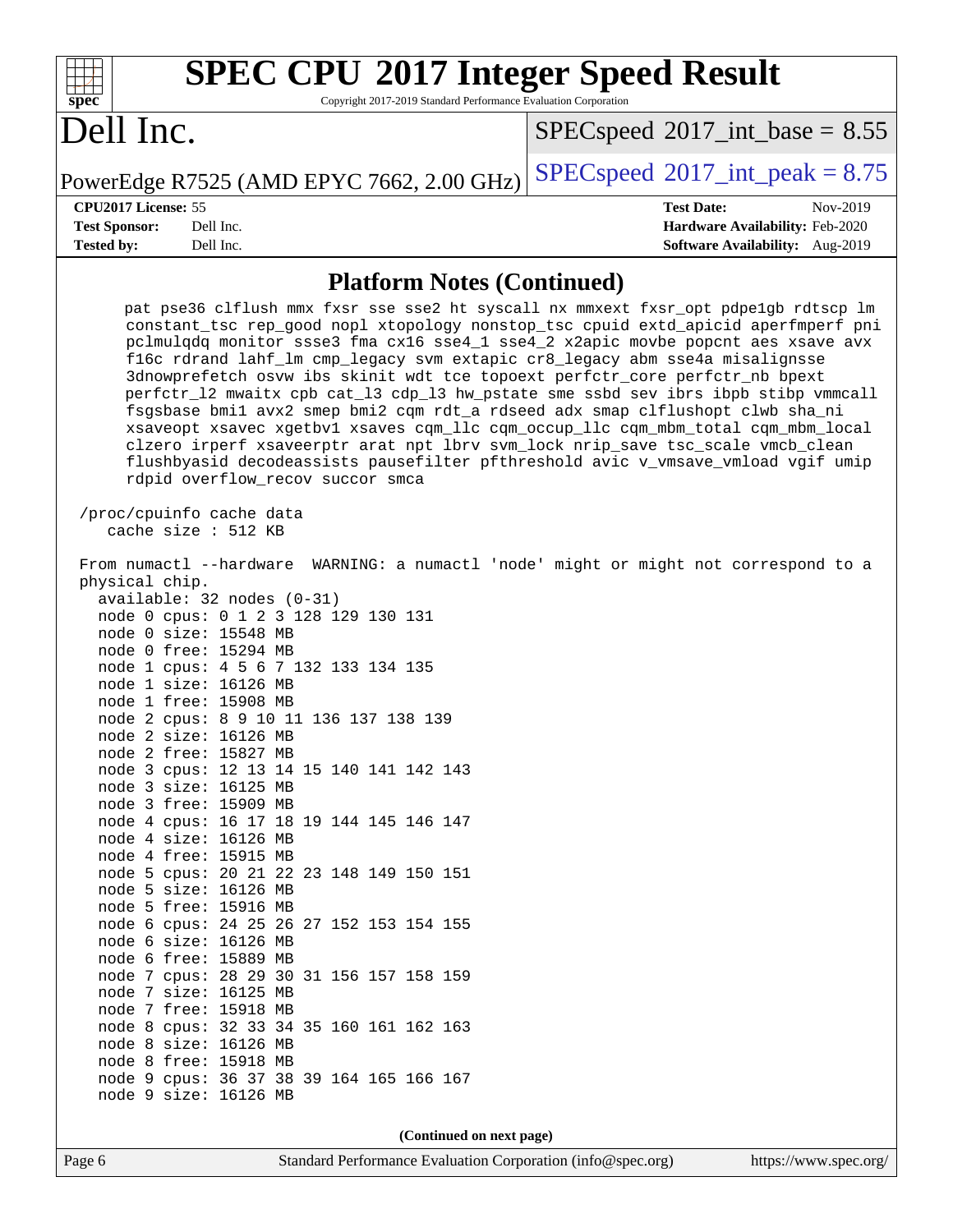| <b>SPEC CPU®2017 Integer Speed Result</b>                       |
|-----------------------------------------------------------------|
| Copyright 2017-2019 Standard Performance Evaluation Corporation |

Dell Inc.

**[spec](http://www.spec.org/)**

 $SPECspeed*2017\_int\_base = 8.55$  $SPECspeed*2017\_int\_base = 8.55$ 

PowerEdge R7525 (AMD EPYC 7662, 2.00 GHz)  $\left|$  [SPECspeed](http://www.spec.org/auto/cpu2017/Docs/result-fields.html#SPECspeed2017intpeak)®[2017\\_int\\_peak = 8](http://www.spec.org/auto/cpu2017/Docs/result-fields.html#SPECspeed2017intpeak).75

**[Tested by:](http://www.spec.org/auto/cpu2017/Docs/result-fields.html#Testedby)** Dell Inc. **[Software Availability:](http://www.spec.org/auto/cpu2017/Docs/result-fields.html#SoftwareAvailability)** Aug-2019

**[CPU2017 License:](http://www.spec.org/auto/cpu2017/Docs/result-fields.html#CPU2017License)** 55 **[Test Date:](http://www.spec.org/auto/cpu2017/Docs/result-fields.html#TestDate)** Nov-2019 **[Test Sponsor:](http://www.spec.org/auto/cpu2017/Docs/result-fields.html#TestSponsor)** Dell Inc. **[Hardware Availability:](http://www.spec.org/auto/cpu2017/Docs/result-fields.html#HardwareAvailability)** Feb-2020

#### **[Platform Notes \(Continued\)](http://www.spec.org/auto/cpu2017/Docs/result-fields.html#PlatformNotes)**

| pat pse36 clflush mmx fxsr sse sse2 ht syscall nx mmxext fxsr_opt pdpe1gb rdtscp lm<br>constant_tsc rep_good nopl xtopology nonstop_tsc cpuid extd_apicid aperfmperf pni<br>pclmulqdq monitor ssse3 fma cx16 sse4_1 sse4_2 x2apic movbe popcnt aes xsave avx<br>fl6c rdrand lahf_lm cmp_legacy svm extapic cr8_legacy abm sse4a misalignsse<br>3dnowprefetch osvw ibs skinit wdt tce topoext perfctr_core perfctr_nb bpext<br>perfctr_12 mwaitx cpb cat_13 cdp_13 hw_pstate sme ssbd sev ibrs ibpb stibp vmmcall<br>fsgsbase bmil avx2 smep bmi2 cqm rdt_a rdseed adx smap clflushopt clwb sha_ni<br>xsaveopt xsavec xgetbvl xsaves cqm_llc cqm_occup_llc cqm_mbm_total cqm_mbm_local<br>clzero irperf xsaveerptr arat npt lbrv svm_lock nrip_save tsc_scale vmcb_clean<br>flushbyasid decodeassists pausefilter pfthreshold avic v_vmsave_vmload vgif umip<br>rdpid overflow recov succor smca |
|-------------------------------------------------------------------------------------------------------------------------------------------------------------------------------------------------------------------------------------------------------------------------------------------------------------------------------------------------------------------------------------------------------------------------------------------------------------------------------------------------------------------------------------------------------------------------------------------------------------------------------------------------------------------------------------------------------------------------------------------------------------------------------------------------------------------------------------------------------------------------------------------------|
| /proc/cpuinfo cache data<br>cache size : 512 KB                                                                                                                                                                                                                                                                                                                                                                                                                                                                                                                                                                                                                                                                                                                                                                                                                                                 |
| From numactl --hardware WARNING: a numactl 'node' might or might not correspond to a<br>physical chip.                                                                                                                                                                                                                                                                                                                                                                                                                                                                                                                                                                                                                                                                                                                                                                                          |
| $available: 32 nodes (0-31)$                                                                                                                                                                                                                                                                                                                                                                                                                                                                                                                                                                                                                                                                                                                                                                                                                                                                    |
| node 0 cpus: 0 1 2 3 128 129 130 131                                                                                                                                                                                                                                                                                                                                                                                                                                                                                                                                                                                                                                                                                                                                                                                                                                                            |
| node 0 size: 15548 MB                                                                                                                                                                                                                                                                                                                                                                                                                                                                                                                                                                                                                                                                                                                                                                                                                                                                           |
| node 0 free: 15294 MB                                                                                                                                                                                                                                                                                                                                                                                                                                                                                                                                                                                                                                                                                                                                                                                                                                                                           |
| node 1 cpus: 4 5 6 7 132 133 134 135                                                                                                                                                                                                                                                                                                                                                                                                                                                                                                                                                                                                                                                                                                                                                                                                                                                            |
| node 1 size: 16126 MB                                                                                                                                                                                                                                                                                                                                                                                                                                                                                                                                                                                                                                                                                                                                                                                                                                                                           |
| node 1 free: 15908 MB                                                                                                                                                                                                                                                                                                                                                                                                                                                                                                                                                                                                                                                                                                                                                                                                                                                                           |
| node 2 cpus: 8 9 10 11 136 137 138 139                                                                                                                                                                                                                                                                                                                                                                                                                                                                                                                                                                                                                                                                                                                                                                                                                                                          |
| node 2 size: 16126 MB                                                                                                                                                                                                                                                                                                                                                                                                                                                                                                                                                                                                                                                                                                                                                                                                                                                                           |
| node 2 free: 15827 MB                                                                                                                                                                                                                                                                                                                                                                                                                                                                                                                                                                                                                                                                                                                                                                                                                                                                           |
| node 3 cpus: 12 13 14 15 140 141 142 143<br>node 3 size: 16125 MB                                                                                                                                                                                                                                                                                                                                                                                                                                                                                                                                                                                                                                                                                                                                                                                                                               |
| node 3 free: 15909 MB                                                                                                                                                                                                                                                                                                                                                                                                                                                                                                                                                                                                                                                                                                                                                                                                                                                                           |
| node 4 cpus: 16 17 18 19 144 145 146 147                                                                                                                                                                                                                                                                                                                                                                                                                                                                                                                                                                                                                                                                                                                                                                                                                                                        |
| node 4 size: 16126 MB                                                                                                                                                                                                                                                                                                                                                                                                                                                                                                                                                                                                                                                                                                                                                                                                                                                                           |
| node 4 free: 15915 MB                                                                                                                                                                                                                                                                                                                                                                                                                                                                                                                                                                                                                                                                                                                                                                                                                                                                           |
| node 5 cpus: 20 21 22 23 148 149 150 151                                                                                                                                                                                                                                                                                                                                                                                                                                                                                                                                                                                                                                                                                                                                                                                                                                                        |
| node 5 size: 16126 MB                                                                                                                                                                                                                                                                                                                                                                                                                                                                                                                                                                                                                                                                                                                                                                                                                                                                           |
| node 5 free: 15916 MB                                                                                                                                                                                                                                                                                                                                                                                                                                                                                                                                                                                                                                                                                                                                                                                                                                                                           |
| node 6 cpus: 24 25 26 27 152 153 154 155                                                                                                                                                                                                                                                                                                                                                                                                                                                                                                                                                                                                                                                                                                                                                                                                                                                        |
| node 6 size: 16126 MB                                                                                                                                                                                                                                                                                                                                                                                                                                                                                                                                                                                                                                                                                                                                                                                                                                                                           |
| node 6 free: 15889 MB                                                                                                                                                                                                                                                                                                                                                                                                                                                                                                                                                                                                                                                                                                                                                                                                                                                                           |
| node 7 cpus: 28 29 30 31 156 157 158 159                                                                                                                                                                                                                                                                                                                                                                                                                                                                                                                                                                                                                                                                                                                                                                                                                                                        |
| node 7 size: 16125 MB                                                                                                                                                                                                                                                                                                                                                                                                                                                                                                                                                                                                                                                                                                                                                                                                                                                                           |
| node 7 free: 15918 MB                                                                                                                                                                                                                                                                                                                                                                                                                                                                                                                                                                                                                                                                                                                                                                                                                                                                           |
| node 8 cpus: 32 33 34 35 160 161 162 163                                                                                                                                                                                                                                                                                                                                                                                                                                                                                                                                                                                                                                                                                                                                                                                                                                                        |
| node 8 size: 16126 MB                                                                                                                                                                                                                                                                                                                                                                                                                                                                                                                                                                                                                                                                                                                                                                                                                                                                           |
| node 8 free: 15918 MB                                                                                                                                                                                                                                                                                                                                                                                                                                                                                                                                                                                                                                                                                                                                                                                                                                                                           |
| node 9 cpus: 36 37 38 39 164 165 166 167                                                                                                                                                                                                                                                                                                                                                                                                                                                                                                                                                                                                                                                                                                                                                                                                                                                        |
| node 9 size: 16126 MB                                                                                                                                                                                                                                                                                                                                                                                                                                                                                                                                                                                                                                                                                                                                                                                                                                                                           |
| (Continued on next page)                                                                                                                                                                                                                                                                                                                                                                                                                                                                                                                                                                                                                                                                                                                                                                                                                                                                        |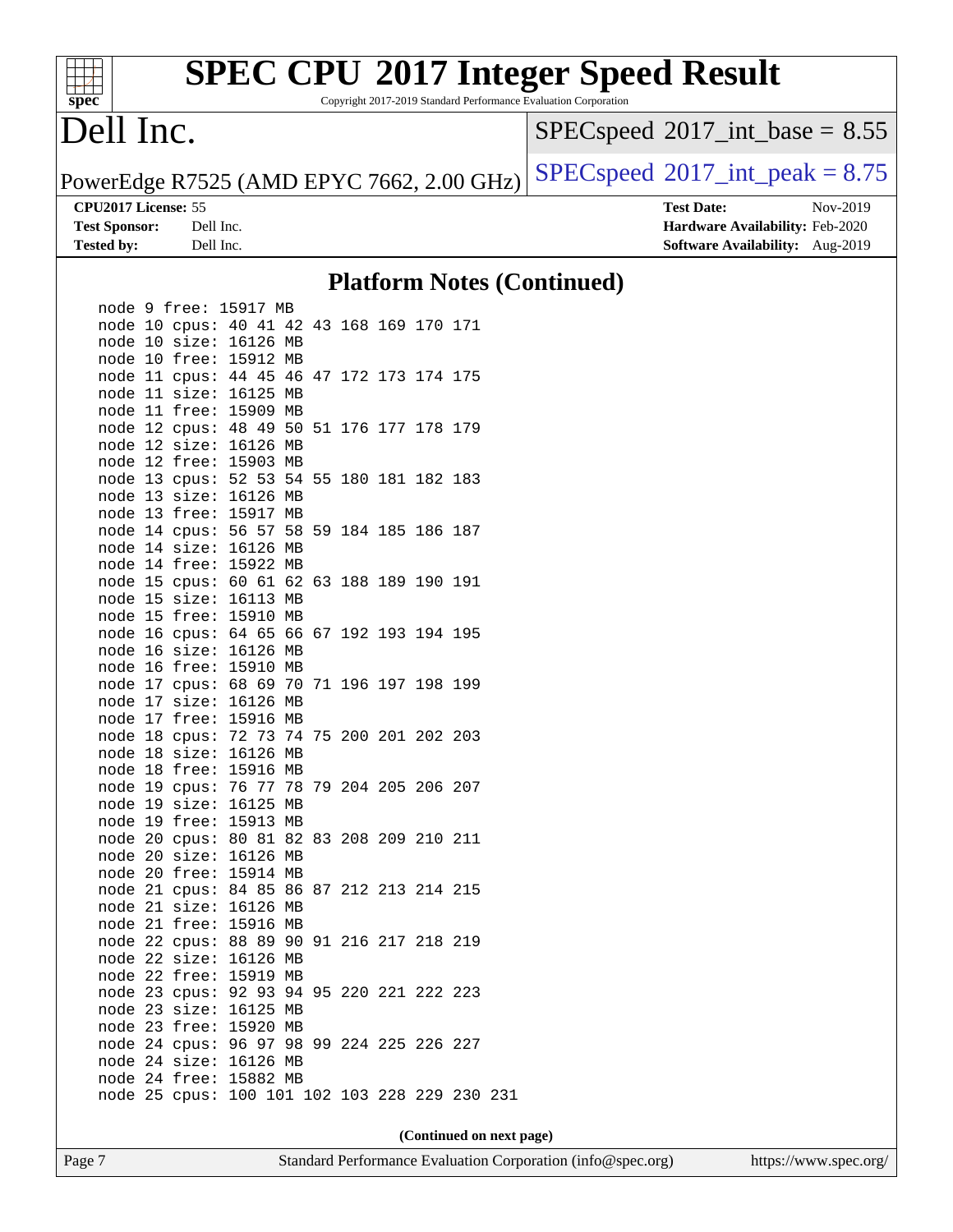Copyright 2017-2019 Standard Performance Evaluation Corporation

## Dell Inc.

**[spec](http://www.spec.org/)**

 $\pm$ 

 $SPEC speed$ <sup>®</sup> $2017$ \_int\_base = 8.55

PowerEdge R7525 (AMD EPYC 7662, 2.00 GHz)  $\left|$  [SPECspeed](http://www.spec.org/auto/cpu2017/Docs/result-fields.html#SPECspeed2017intpeak)<sup>®</sup>[2017\\_int\\_peak = 8](http://www.spec.org/auto/cpu2017/Docs/result-fields.html#SPECspeed2017intpeak).75

**[CPU2017 License:](http://www.spec.org/auto/cpu2017/Docs/result-fields.html#CPU2017License)** 55 **[Test Date:](http://www.spec.org/auto/cpu2017/Docs/result-fields.html#TestDate)** Nov-2019 **[Test Sponsor:](http://www.spec.org/auto/cpu2017/Docs/result-fields.html#TestSponsor)** Dell Inc. **[Hardware Availability:](http://www.spec.org/auto/cpu2017/Docs/result-fields.html#HardwareAvailability)** Feb-2020 **[Tested by:](http://www.spec.org/auto/cpu2017/Docs/result-fields.html#Testedby)** Dell Inc. **[Software Availability:](http://www.spec.org/auto/cpu2017/Docs/result-fields.html#SoftwareAvailability)** Aug-2019

#### **[Platform Notes \(Continued\)](http://www.spec.org/auto/cpu2017/Docs/result-fields.html#PlatformNotes)**

|  |               | node 9 free: 15917 MB                         |    |  |            |                       |     |  |
|--|---------------|-----------------------------------------------|----|--|------------|-----------------------|-----|--|
|  |               | node 10 cpus: 40 41                           |    |  |            | 42 43 168 169 170 171 |     |  |
|  |               | node 10 size: 16126 MB                        |    |  |            |                       |     |  |
|  |               | node 10 free: 15912                           | MB |  |            |                       |     |  |
|  |               | node 11 cpus: 44 45 46 47 172 173 174 175     |    |  |            |                       |     |  |
|  | node 11 size: | 16125                                         | MB |  |            |                       |     |  |
|  | node 11 free: | 15909 MB                                      |    |  |            |                       |     |  |
|  | node 12 cpus: | 48 49 50 51 176 177 178 179                   |    |  |            |                       |     |  |
|  | node 12 size: | 16126 MB                                      |    |  |            |                       |     |  |
|  |               | node 12 free: 15903                           | MB |  |            |                       |     |  |
|  | node 13 cpus: | 52 53                                         | 54 |  | 55 180 181 | 182 183               |     |  |
|  | node 13 size: | 16126 MB                                      |    |  |            |                       |     |  |
|  | node 13 free: | 15917                                         | МB |  |            |                       |     |  |
|  | node 14 cpus: | 56 57 58                                      |    |  |            | 59 184 185 186 187    |     |  |
|  | node 14 size: | 16126                                         | МB |  |            |                       |     |  |
|  | node 14 free: | 15922                                         | МB |  |            |                       |     |  |
|  | node 15 cpus: | 60 61 62 63 188 189 190 191                   |    |  |            |                       |     |  |
|  | node 15 size: | 16113                                         | MB |  |            |                       |     |  |
|  | node 15 free: | 15910                                         | MB |  |            |                       |     |  |
|  |               | node 16 cpus: 64 65                           |    |  |            | 66 67 192 193 194 195 |     |  |
|  | node 16 size: | 16126                                         | MB |  |            |                       |     |  |
|  | node 16 free: | 15910 MB                                      |    |  |            |                       |     |  |
|  |               | node 17 cpus: 68 69 70                        |    |  | 71 196 197 | 198                   | 199 |  |
|  | node 17 size: | 16126 MB                                      |    |  |            |                       |     |  |
|  | node 17 free: | 15916 MB                                      |    |  |            |                       |     |  |
|  | node 18 cpus: | 72 73 74 75 200 201 202 203                   |    |  |            |                       |     |  |
|  | node 18 size: | 16126                                         | MB |  |            |                       |     |  |
|  | node 18 free: | 15916                                         | MB |  |            |                       |     |  |
|  | node 19 cpus: | 76 77 78                                      |    |  |            | 79 204 205 206 207    |     |  |
|  | node 19 size: | 16125                                         | MB |  |            |                       |     |  |
|  | node 19 free: | 15913 MB                                      |    |  |            |                       |     |  |
|  | node 20 cpus: | 80 81                                         | 82 |  |            | 83 208 209 210 211    |     |  |
|  | node 20 size: | 16126                                         | МB |  |            |                       |     |  |
|  | node 20 free: | 15914 MB                                      |    |  |            |                       |     |  |
|  | node 21 cpus: | 8485                                          | 86 |  |            | 87 212 213 214 215    |     |  |
|  | node 21 size: | 16126                                         | MB |  |            |                       |     |  |
|  | node 21 free: | 15916                                         | МB |  |            |                       |     |  |
|  | node 22 cpus: | 88 89 90                                      |    |  |            | 91 216 217 218 219    |     |  |
|  | node 22 size: | 16126                                         | МB |  |            |                       |     |  |
|  | node 22 free: | 15919                                         | МB |  |            |                       |     |  |
|  | node 23 cpus: | 92 93 94 95 220 221 222 223                   |    |  |            |                       |     |  |
|  | node 23 size: | 16125                                         | MB |  |            |                       |     |  |
|  | node 23 free: | 15920                                         | МB |  |            |                       |     |  |
|  | node 24 cpus: | 9697                                          | 98 |  |            | 99 224 225 226 227    |     |  |
|  | node 24 size: | 16126                                         | MB |  |            |                       |     |  |
|  | node 24 free: | 15882 MB                                      |    |  |            |                       |     |  |
|  |               | node 25 cpus: 100 101 102 103 228 229 230 231 |    |  |            |                       |     |  |
|  |               |                                               |    |  |            |                       |     |  |

**(Continued on next page)**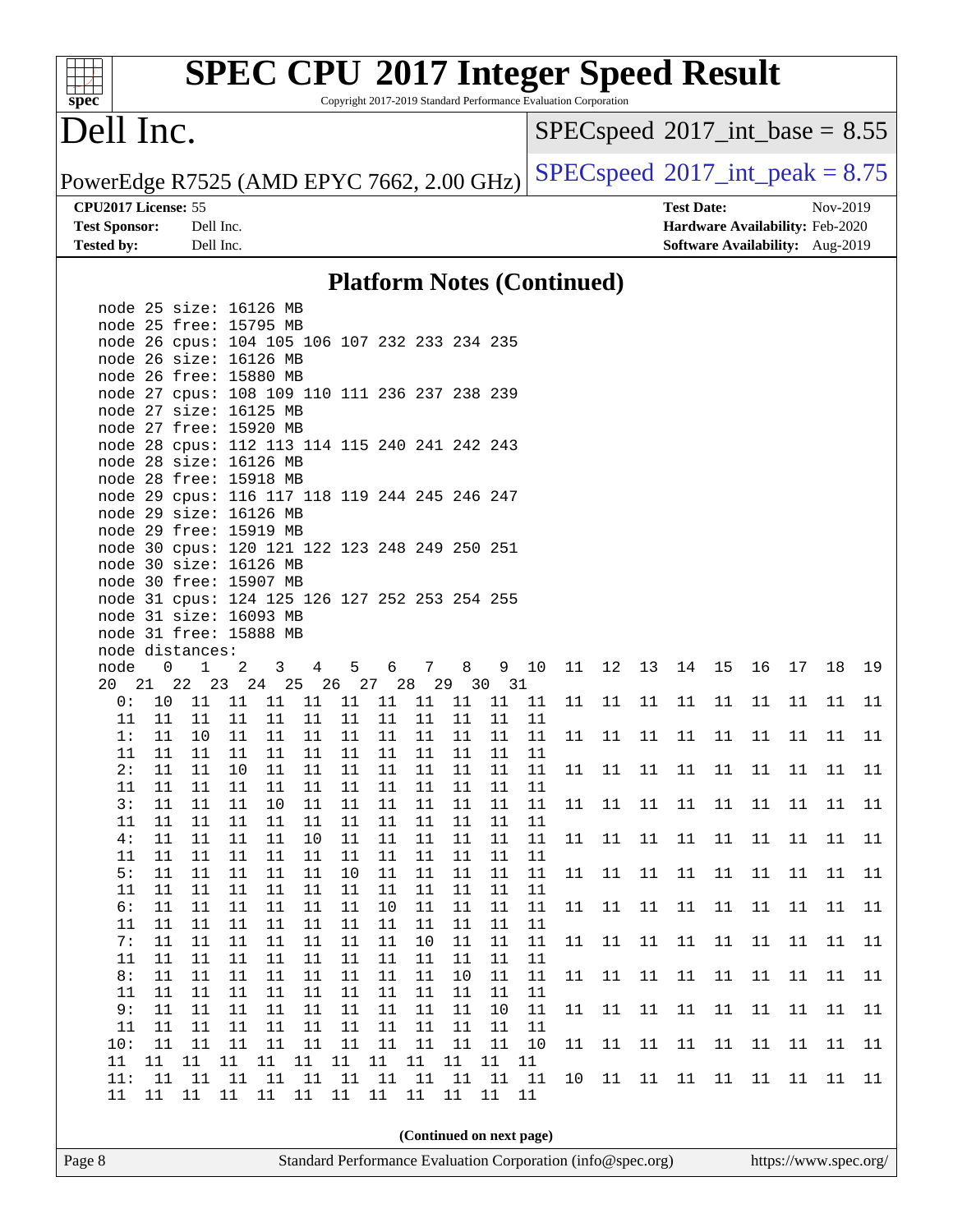Copyright 2017-2019 Standard Performance Evaluation Corporation

## Dell Inc.

**[spec](http://www.spec.org/)**

 $SPEC speed$ <sup>®</sup>[2017\\_int\\_base =](http://www.spec.org/auto/cpu2017/Docs/result-fields.html#SPECspeed2017intbase) 8.55

PowerEdge R7525 (AMD EPYC 7662, 2.00 GHz)  $\left|$  [SPECspeed](http://www.spec.org/auto/cpu2017/Docs/result-fields.html#SPECspeed2017intpeak)<sup>®</sup>[2017\\_int\\_peak = 8](http://www.spec.org/auto/cpu2017/Docs/result-fields.html#SPECspeed2017intpeak).75

**[CPU2017 License:](http://www.spec.org/auto/cpu2017/Docs/result-fields.html#CPU2017License)** 55 **[Test Date:](http://www.spec.org/auto/cpu2017/Docs/result-fields.html#TestDate)** Nov-2019 **[Test Sponsor:](http://www.spec.org/auto/cpu2017/Docs/result-fields.html#TestSponsor)** Dell Inc. **[Hardware Availability:](http://www.spec.org/auto/cpu2017/Docs/result-fields.html#HardwareAvailability)** Feb-2020 **[Tested by:](http://www.spec.org/auto/cpu2017/Docs/result-fields.html#Testedby)** Dell Inc. **[Software Availability:](http://www.spec.org/auto/cpu2017/Docs/result-fields.html#SoftwareAvailability)** Aug-2019

#### **[Platform Notes \(Continued\)](http://www.spec.org/auto/cpu2017/Docs/result-fields.html#PlatformNotes)**

| Page 8 |                                               |             |              |                |              |                |                                     |            |          |          |          | Standard Performance Evaluation Corporation (info@spec.org) |    |        |      |       |    |    |        | https://www.spec.org/ |    |
|--------|-----------------------------------------------|-------------|--------------|----------------|--------------|----------------|-------------------------------------|------------|----------|----------|----------|-------------------------------------------------------------|----|--------|------|-------|----|----|--------|-----------------------|----|
|        |                                               |             |              |                |              |                |                                     |            |          |          |          | (Continued on next page)                                    |    |        |      |       |    |    |        |                       |    |
|        | 11                                            | 11          | $11\,$       | 11             | 11           | 11             | 11                                  | 11         | 11       | 11       | 11       | 11                                                          |    |        |      |       |    |    |        |                       |    |
|        | 11:                                           | 11          | 11           | 11             | 11           | 11             | 11                                  | 11         | 11       | 11       | 11       | 11                                                          | 10 | 11     | 11   | 11    | 11 | 11 | 11     | 11                    | 11 |
|        | 11                                            | 11          | 11           | 11             | 11           | 11             | 11                                  | 11         | $11\,$   | 11       | 11       | 11                                                          |    |        |      |       |    |    |        |                       |    |
|        | 10:                                           | $11\,$      | 11           | 11             | 11           | 11             | 11                                  | 11         | 11       | 11       | $11\,$   | 10                                                          | 11 | 11     | $11$ | 11    | 11 | 11 | 11     | 11                    | 11 |
|        | 11                                            | 11          | 11           | 11             | 11           | 11             | 11                                  | 11         | 11       | 11       | 11       | 11                                                          |    |        |      |       |    |    |        |                       |    |
|        | 9 :                                           | 11          | 11           | 11             | 11           | 11             | 11                                  | 11         | 11       | 11       | 10       | 11                                                          | 11 | $11\,$ | 11   | 11    | 11 | 11 | 11     | 11                    | 11 |
|        |                                               |             |              |                |              |                | 11 11 11 11 11 11 11 11 11 11 11 11 |            |          |          |          |                                                             |    |        |      |       |    |    |        |                       |    |
|        | 8:                                            | 11          | 11           | 11             | 11           | 11             | 11                                  | 11         | 11       | 10       | 11       | 11                                                          | 11 | 11     | 11   | 11    | 11 | 11 | 11     | 11                    | 11 |
|        | 11                                            | 11          | 11           | 11             | 11           | 11             | 11                                  | 11         | 11       | 11       | 11       | 11                                                          |    |        |      |       |    |    |        |                       |    |
|        | 7:                                            | 11          | 11           | 11             | 11           | 11             | 11                                  | 11         | 10       | 11       | 11       | 11                                                          | 11 | 11     | 11   | 11    | 11 | 11 | 11     | 11                    | 11 |
|        | 11                                            | 11          | 11           | 11             | 11           | 11             | 11                                  | 11         | 11       | 11       | 11       | 11                                                          |    |        |      |       |    |    |        |                       |    |
|        | 6:                                            | 11          | 11           | 11             | 11           | 11             | 11                                  | 10         | 11       | 11       | 11       | 11                                                          | 11 | 11     | 11   | 11    | 11 | 11 | 11     | 11                    | 11 |
|        | 11                                            | 11          | 11           | 11             | 11           | 11             | 11                                  | 11         | 11       | 11       | 11       | 11                                                          |    |        |      |       |    |    |        |                       |    |
|        | 5:                                            | 11          | 11           | 11             | 11           | 11             | 10                                  | 11         | 11       | 11       | 11       | 11                                                          | 11 | 11     | 11   | 11    | 11 | 11 | 11     | 11                    | 11 |
|        | 4:<br>11                                      | 11<br>11    | 11<br>11     | 11<br>11       | 11<br>11     | 10<br>11       | 11<br>11                            | 11<br>11   | 11<br>11 | 11<br>11 | 11<br>11 | 11<br>11                                                    | 11 | 11     | 11   | 11    | 11 | 11 | 11     | 11                    | 11 |
|        | 11                                            | 11          | 11           | 11             | 11           | 11             | 11                                  | 11         | 11       | 11       | 11       | 11                                                          |    |        |      |       |    |    |        |                       |    |
|        | 3:                                            | 11          | 11           | 11             | 10           | 11             | 11                                  | 11         | 11       | 11       | 11       | 11                                                          | 11 | 11     | 11   | 11    | 11 | 11 | $11\,$ | $11\,$                | 11 |
|        | 11                                            | 11          | 11           | 11             | 11           | 11             | 11                                  | 11         | 11       | 11       | 11       | 11                                                          |    |        |      |       |    |    |        |                       |    |
|        | 2:                                            | 11          | 11           | 10             | 11           | 11             | 11                                  | 11         | 11       | 11       | 11       | 11                                                          | 11 | 11     | 11   | 11    | 11 | 11 | 11     | $11\,$                | 11 |
|        | 11                                            | 11          | 11           | 11             | 11           | 11             | 11                                  | 11         | 11       | 11       | 11       | 11                                                          |    |        |      |       |    |    |        |                       |    |
|        | 1:                                            | 11          | 10           | 11             | 11           | 11             | 11                                  | 11         | 11       | 11       | 11       | 11                                                          | 11 | 11     | 11   | 11    | 11 | 11 | 11     | 11                    | 11 |
|        | 11                                            | 11          | 11           | 11             | 11           | 11             | 11                                  | 11         | 11       | 11       | 11       | 11                                                          |    |        |      |       |    |    |        |                       |    |
|        | 0 :                                           | 10          | 11           | 11             | 11           | 11             | 11                                  | 11         | 11       | 11       | 11       | 11                                                          | 11 | 11     | 11   | 11    | 11 | 11 | 11     | 11                    | 11 |
|        | 20 21 22 23 24 25 26 27 28 29 30 31           |             |              |                |              |                |                                     |            |          |          |          |                                                             |    |        |      |       |    |    |        |                       |    |
|        | node                                          | $\mathbf 0$ | $\mathbf{1}$ | $\overline{c}$ | $\mathbf{3}$ | $\overline{4}$ |                                     | $5 -$<br>6 |          | 7 8      |          | 9 10                                                        | 11 | 12     | 13   | 14 15 |    | 16 | 17     | 18                    | 19 |
|        | node distances:                               |             |              |                |              |                |                                     |            |          |          |          |                                                             |    |        |      |       |    |    |        |                       |    |
|        | node 31 free: 15888 MB                        |             |              |                |              |                |                                     |            |          |          |          |                                                             |    |        |      |       |    |    |        |                       |    |
|        | node 31 size: 16093 MB                        |             |              |                |              |                |                                     |            |          |          |          |                                                             |    |        |      |       |    |    |        |                       |    |
|        | node 31 cpus: 124 125 126 127 252 253 254 255 |             |              |                |              |                |                                     |            |          |          |          |                                                             |    |        |      |       |    |    |        |                       |    |
|        | node 30 free: 15907 MB                        |             |              |                |              |                |                                     |            |          |          |          |                                                             |    |        |      |       |    |    |        |                       |    |
|        | node 30 size: 16126 MB                        |             |              |                |              |                |                                     |            |          |          |          |                                                             |    |        |      |       |    |    |        |                       |    |
|        | node 30 cpus: 120 121 122 123 248 249 250 251 |             |              |                |              |                |                                     |            |          |          |          |                                                             |    |        |      |       |    |    |        |                       |    |
|        | node 29 free: 15919 MB                        |             |              |                |              |                |                                     |            |          |          |          |                                                             |    |        |      |       |    |    |        |                       |    |
|        | node 29 size: 16126 MB                        |             |              |                |              |                |                                     |            |          |          |          |                                                             |    |        |      |       |    |    |        |                       |    |
|        | node 29 cpus: 116 117 118 119 244 245 246 247 |             |              |                |              |                |                                     |            |          |          |          |                                                             |    |        |      |       |    |    |        |                       |    |
|        | node 28 free: 15918 MB                        |             |              |                |              |                |                                     |            |          |          |          |                                                             |    |        |      |       |    |    |        |                       |    |
|        | node 28 size: 16126 MB                        |             |              |                |              |                |                                     |            |          |          |          |                                                             |    |        |      |       |    |    |        |                       |    |
|        | node 28 cpus: 112 113 114 115 240 241 242 243 |             |              |                |              |                |                                     |            |          |          |          |                                                             |    |        |      |       |    |    |        |                       |    |
|        | node 27 free: 15920 MB                        |             |              |                |              |                |                                     |            |          |          |          |                                                             |    |        |      |       |    |    |        |                       |    |
|        | node 27 size: 16125 MB                        |             |              |                |              |                |                                     |            |          |          |          |                                                             |    |        |      |       |    |    |        |                       |    |
|        | node 27 cpus: 108 109 110 111 236 237 238 239 |             |              |                |              |                |                                     |            |          |          |          |                                                             |    |        |      |       |    |    |        |                       |    |
|        | node 26 free: 15880 MB                        |             |              |                |              |                |                                     |            |          |          |          |                                                             |    |        |      |       |    |    |        |                       |    |
|        | node 26 size: 16126 MB                        |             |              |                |              |                |                                     |            |          |          |          |                                                             |    |        |      |       |    |    |        |                       |    |
|        | node 26 cpus: 104 105 106 107 232 233 234 235 |             |              |                |              |                |                                     |            |          |          |          |                                                             |    |        |      |       |    |    |        |                       |    |
|        | node 25 free: 15795 MB                        |             |              |                |              |                |                                     |            |          |          |          |                                                             |    |        |      |       |    |    |        |                       |    |
|        | node 25 size: 16126 MB                        |             |              |                |              |                |                                     |            |          |          |          |                                                             |    |        |      |       |    |    |        |                       |    |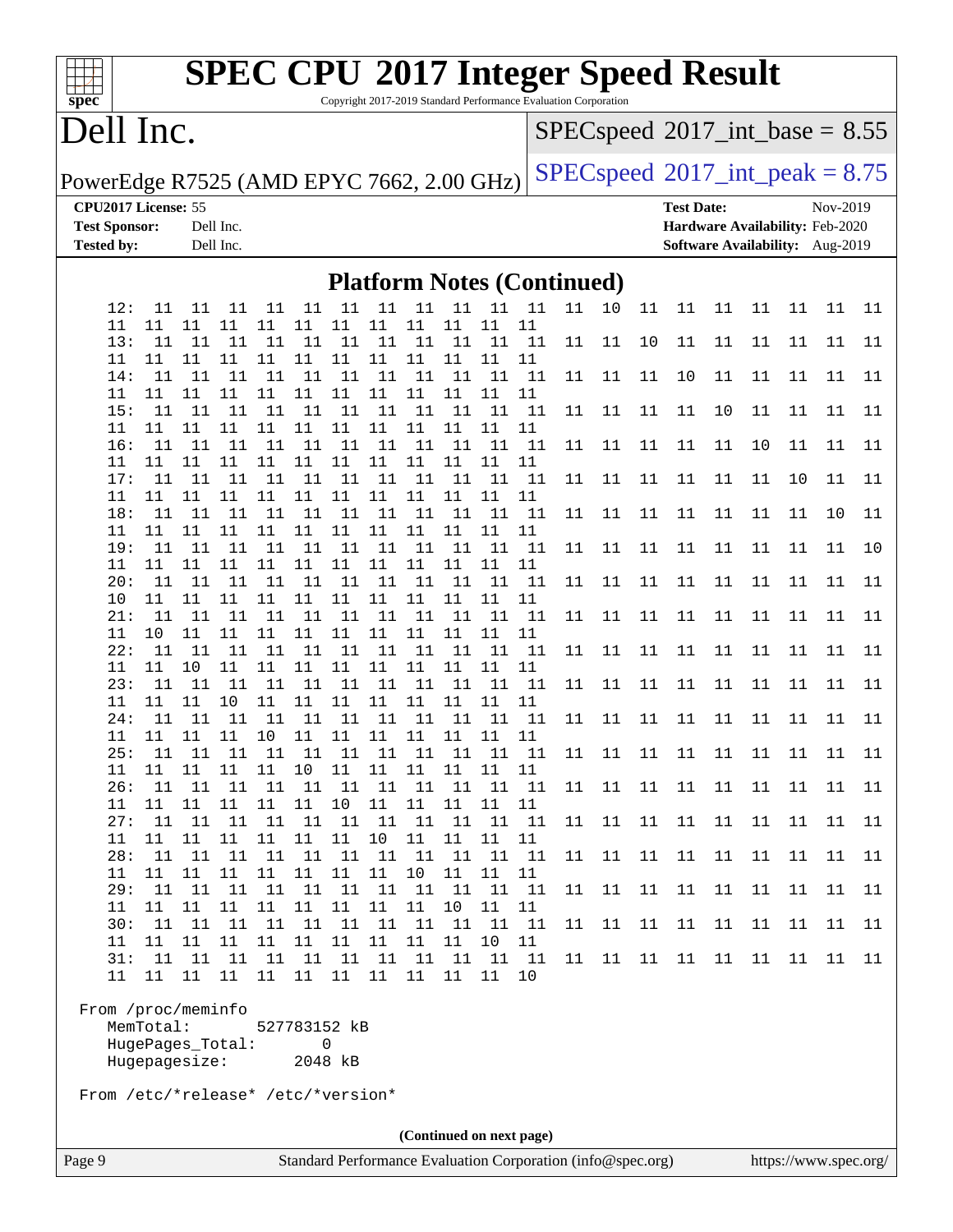#### **[spec](http://www.spec.org/)**

# **[SPEC CPU](http://www.spec.org/auto/cpu2017/Docs/result-fields.html#SPECCPU2017IntegerSpeedResult)[2017 Integer Speed Result](http://www.spec.org/auto/cpu2017/Docs/result-fields.html#SPECCPU2017IntegerSpeedResult)**

Copyright 2017-2019 Standard Performance Evaluation Corporation

## Dell Inc.

 $SPEC speed$ <sup>®</sup> $2017$ \_int\_base = 8.55

PowerEdge R7525 (AMD EPYC 7662, 2.00 GHz)  $\left|$  [SPECspeed](http://www.spec.org/auto/cpu2017/Docs/result-fields.html#SPECspeed2017intpeak)<sup>®</sup>[2017\\_int\\_peak = 8](http://www.spec.org/auto/cpu2017/Docs/result-fields.html#SPECspeed2017intpeak).75

**[CPU2017 License:](http://www.spec.org/auto/cpu2017/Docs/result-fields.html#CPU2017License)** 55 **[Test Date:](http://www.spec.org/auto/cpu2017/Docs/result-fields.html#TestDate)** Nov-2019 **[Test Sponsor:](http://www.spec.org/auto/cpu2017/Docs/result-fields.html#TestSponsor)** Dell Inc. **[Hardware Availability:](http://www.spec.org/auto/cpu2017/Docs/result-fields.html#HardwareAvailability)** Feb-2020 **[Tested by:](http://www.spec.org/auto/cpu2017/Docs/result-fields.html#Testedby)** Dell Inc. **[Software Availability:](http://www.spec.org/auto/cpu2017/Docs/result-fields.html#SoftwareAvailability)** Aug-2019

#### **[Platform Notes \(Continued\)](http://www.spec.org/auto/cpu2017/Docs/result-fields.html#PlatformNotes)**

| 12:       | 11        | 11                 | 11       | 11           | 11           |             | 11 11 11     |             | 11       | 11       | - 11     | 11 | 10     | 11     | 11     | 11     | 11 | 11     | 11 | 11     |
|-----------|-----------|--------------------|----------|--------------|--------------|-------------|--------------|-------------|----------|----------|----------|----|--------|--------|--------|--------|----|--------|----|--------|
| 11        | 11        | 11                 | 11       | 11           | 11           | 11          | 11           | 11          | 11       | 11       | 11       |    |        |        |        |        |    |        |    |        |
| 13:       | 11        | 11                 | 11       | 11           | 11           | 11          | 11           | $11\,$      | 11       | 11       | 11       | 11 | 11     | $10$   | 11     | 11     | 11 | 11     | 11 | 11     |
| 11<br>14: | 11<br>11  | 11<br>- 11         | 11<br>11 | $11\,$<br>11 | 11<br>11     | 11<br>11    | 11<br>11     | 11<br>11    | 11<br>11 | 11<br>11 | 11<br>11 | 11 | 11     | 11     | 10     | 11     | 11 | 11     | 11 | 11     |
| 11        | 11        | 11                 | 11       | 11           | 11           | 11          | 11           | 11          | 11       | 11       | 11       |    |        |        |        |        |    |        |    |        |
| 15:       | 11        | 11                 | 11       | 11           | 11           | 11          | 11           | 11          | 11       | 11       | 11       | 11 | 11     | 11     | 11     | 10     | 11 | 11     | 11 | 11     |
| 11        | 11        | 11                 | 11       | 11           | 11           | 11          | 11           | 11          | 11       | 11       | 11       |    |        |        |        |        |    |        |    |        |
| 16:       | 11        | 11                 | 11       | 11           | 11           | 11          | 11           | 11          | 11       | 11       | 11       | 11 | 11     | $11\,$ | 11     | $11\,$ | 10 | 11     | 11 | 11     |
| 11        | 11        | 11                 | 11       | 11           | 11           | 11          | 11           | 11          | 11       | 11       | 11       |    |        |        |        |        |    |        |    |        |
| 17:       | 11        | 11                 | 11       | 11           | 11           | 11          | 11           | 11          | 11       | 11       | 11       | 11 | 11     | 11     | 11     | 11     | 11 | 10     | 11 | $11\,$ |
| 11        | 11        | 11                 | 11       | 11           | 11           | 11          | 11           | 11          | 11       | 11       | 11       |    |        |        |        |        |    |        |    |        |
| 18:       | 11        | 11                 | 11       | 11           | 11           | 11          | 11           | 11          | 11       | 11       | 11       | 11 | 11     | $11\,$ | $11\,$ | 11     | 11 | 11     | 10 | 11     |
| 11<br>19: | 11<br>11  | 11<br>11           | 11<br>11 | 11           | 11           | 11<br>11    | 11           | 11<br>11 11 | 11       | 11       | 11<br>11 |    |        |        |        |        |    |        |    |        |
| 11        | 11        | 11                 | 11       | 11           | 11 11<br>11  | 11          | 11           | 11          | 11<br>11 | 11<br>11 | 11       | 11 | 11     | 11     | 11     | 11     | 11 | 11     | 11 | 10     |
| 20:       | 11        | 11                 | 11       | 11           | 11           | 11          |              | 11 11       | 11       | 11       | 11       | 11 | $11\,$ | $11\,$ | $11\,$ | $11\,$ | 11 | $11\,$ | 11 | $11\,$ |
| 10        | 11        | 11                 | 11       | 11           | 11           | 11          | 11           | 11          | 11       | 11       | 11       |    |        |        |        |        |    |        |    |        |
| 21:       | 11        | 11                 | 11       | 11           | 11           | 11          | 11           | 11          | 11       | 11       | 11       | 11 | 11     | 11     | 11     | 11     | 11 | 11     | 11 | 11     |
| 11        | 10        | 11                 | $11\,$   | $11\,$       | 11           | 11          | 11           | 11          | 11       | 11       | 11       |    |        |        |        |        |    |        |    |        |
| 22:       | 11        | 11                 | 11       | 11           | 11           | 11          | 11           | 11          | 11       | 11       | 11       | 11 | 11     | 11     | 11     | 11     | 11 | 11     | 11 | 11     |
| 11        | 11        | 10                 | 11       | 11           | 11           | 11          | 11           | 11          | 11       | 11       | 11       |    |        |        |        |        |    |        |    |        |
| 23:       | 11        | 11                 | 11       | 11           | 11           | 11          | 11           | 11          | 11       | 11       | 11       | 11 | $11\,$ | $11\,$ | $11\,$ | $11\,$ | 11 | $11\,$ | 11 | 11     |
| 11        | 11        | 11                 | 10       | 11           | 11           | 11          | 11           | 11          | 11       | 11       | 11       |    |        |        |        |        |    |        |    |        |
| 24:       | 11        | 11                 | 11       | 11           | 11           | 11          | 11           | 11          | 11       | 11       | 11       | 11 | 11     | 11     | 11     | 11     | 11 | 11     | 11 | 11     |
| 11<br>25: | 11<br>11  | 11<br>11           | 11<br>11 | $10$<br>11   | 11<br>11     | 11<br>11    | $11\,$<br>11 | 11<br>11    | 11<br>11 | 11<br>11 | 11<br>11 |    |        |        |        |        |    | 11     | 11 |        |
| 11        | 11        | 11                 | 11       | 11           | 10           | 11          | 11           | 11          | 11       | 11       | 11       | 11 | 11     | 11     | 11     | 11     | 11 |        |    | 11     |
| 26:       | 11        | 11                 | 11       | 11           | 11           | 11          | 11           | 11          | 11       | 11       | 11       | 11 | 11     | 11     | 11     | 11     | 11 | 11     | 11 | 11     |
| 11        | 11        | 11                 | 11       | 11           | 11           | $10$        | 11           | $11\,$      | $11\,$   | 11       | 11       |    |        |        |        |        |    |        |    |        |
| 27:       | 11        | 11                 | 11       |              | 11 11        | 11          |              | 11 11       | 11       | 11       | 11       | 11 | 11     | 11     | 11     | 11     | 11 | 11     | 11 | 11     |
| 11        | 11        | 11                 | 11       | 11           | 11           | 11          | 10           | 11          | 11       | 11       | 11       |    |        |        |        |        |    |        |    |        |
| 28:       | 11        | 11                 | 11       | $11\,$       | 11           | 11          | 11           | 11          | $11\,$   | 11       | 11       | 11 | 11     | 11     | 11     | 11     | 11 | $11\,$ | 11 | 11     |
| 11        | 11        | 11                 | 11       | 11           | 11           | 11          | 11           | 10          | 11       | 11       | 11       |    |        |        |        |        |    |        |    |        |
| 29:       | 11        | 11                 | 11       | 11           | 11           | 11          | 11           | 11          | 11       | 11       | 11       | 11 | 11     | 11     | 11     | 11     | 11 | 11     | 11 | 11     |
| 11        | 11        | 11                 | 11       | $11\,$       | $11\,$       | $11\,$      | $11\,$       | $11\,$      | $10$     | $11\,$   | 11       |    |        |        |        |        |    |        |    |        |
| 30:       | 11<br>11  | 11                 | 11       | 11           | 11           | 11          | 11           | 11<br>11    | 11       | 11       | 11       | 11 | 11     | 11     | 11     | 11     | 11 | 11     | 11 | 11     |
| 11<br>31: | 11        | 11<br>11           | 11<br>11 | 11<br>11     | 11<br>11     | 11<br>11    | 11           | 11 11       | 11<br>11 | 10<br>11 | 11<br>11 | 11 | 11     | $11\,$ | 11     | 11     | 11 | 11     | 11 | 11     |
| 11        | 11        | 11                 | 11       | 11           | 11           | 11          | 11           | 11          | 11       | 11       | 10       |    |        |        |        |        |    |        |    |        |
|           |           |                    |          |              |              |             |              |             |          |          |          |    |        |        |        |        |    |        |    |        |
|           |           | From /proc/meminfo |          |              |              |             |              |             |          |          |          |    |        |        |        |        |    |        |    |        |
|           | MemTotal: |                    |          |              | 527783152 kB |             |              |             |          |          |          |    |        |        |        |        |    |        |    |        |
|           |           | HugePages Total:   |          |              |              | $\mathbf 0$ |              |             |          |          |          |    |        |        |        |        |    |        |    |        |
|           |           | Hugepagesize:      |          |              |              | 2048 kB     |              |             |          |          |          |    |        |        |        |        |    |        |    |        |
|           |           |                    |          |              |              |             |              |             |          |          |          |    |        |        |        |        |    |        |    |        |

From /etc/\*release\* /etc/\*version\*

**(Continued on next page)**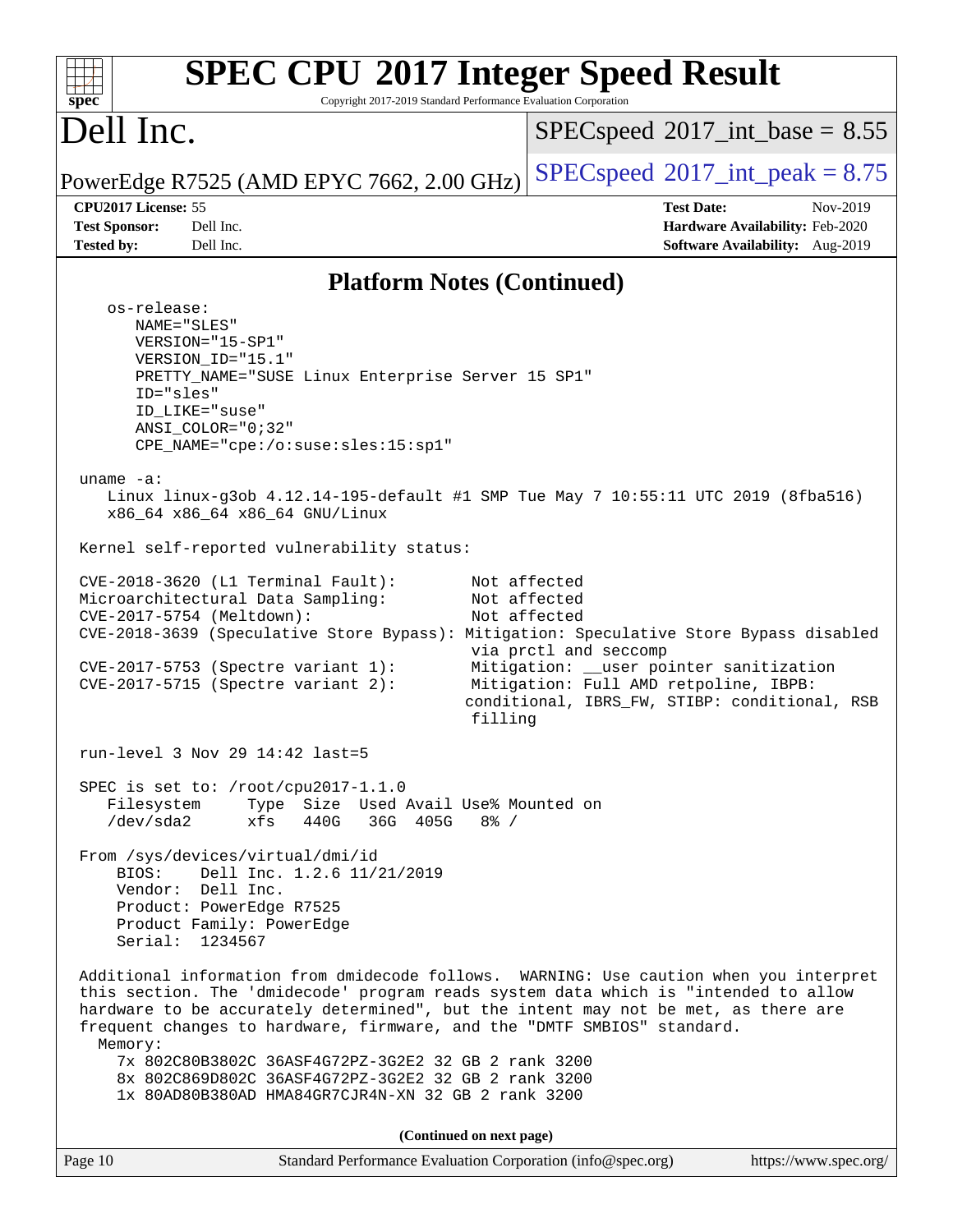| <b>SPEC CPU®2017 Integer Speed Result</b><br>Copyright 2017-2019 Standard Performance Evaluation Corporation<br>$spec^*$                                                                                                                                                                                                                                                                                                                                |                                                                                                                                                                                            |  |  |  |  |  |
|---------------------------------------------------------------------------------------------------------------------------------------------------------------------------------------------------------------------------------------------------------------------------------------------------------------------------------------------------------------------------------------------------------------------------------------------------------|--------------------------------------------------------------------------------------------------------------------------------------------------------------------------------------------|--|--|--|--|--|
| Dell Inc.                                                                                                                                                                                                                                                                                                                                                                                                                                               | $SPEC speed^{\circ}2017\_int\_base = 8.55$                                                                                                                                                 |  |  |  |  |  |
| PowerEdge R7525 (AMD EPYC 7662, 2.00 GHz)                                                                                                                                                                                                                                                                                                                                                                                                               | $SPEC speed^{\circ}2017\_int\_peak = 8.75$                                                                                                                                                 |  |  |  |  |  |
| CPU2017 License: 55<br><b>Test Sponsor:</b><br>Dell Inc.<br><b>Tested by:</b><br>Dell Inc.                                                                                                                                                                                                                                                                                                                                                              | <b>Test Date:</b><br>Nov-2019<br>Hardware Availability: Feb-2020<br>Software Availability: Aug-2019                                                                                        |  |  |  |  |  |
| <b>Platform Notes (Continued)</b>                                                                                                                                                                                                                                                                                                                                                                                                                       |                                                                                                                                                                                            |  |  |  |  |  |
| os-release:<br>NAME="SLES"<br>VERSION="15-SP1"<br>VERSION_ID="15.1"<br>PRETTY_NAME="SUSE Linux Enterprise Server 15 SP1"<br>ID="sles"<br>ID LIKE="suse"<br>$ANSI$ _COLOR="0;32"<br>$CPE\_NAME='cpe://o:suse: sles:15:sp1"$<br>uname $-a$ :<br>Linux linux-g3ob 4.12.14-195-default #1 SMP Tue May 7 10:55:11 UTC 2019 (8fba516)<br>x86_64 x86_64 x86_64 GNU/Linux<br>Kernel self-reported vulnerability status:<br>$CVE-2018-3620$ (L1 Terminal Fault): | Not affected                                                                                                                                                                               |  |  |  |  |  |
| Microarchitectural Data Sampling:<br>CVE-2017-5754 (Meltdown):<br>CVE-2018-3639 (Speculative Store Bypass): Mitigation: Speculative Store Bypass disabled<br>CVE-2017-5753 (Spectre variant 1):<br>$CVE-2017-5715$ (Spectre variant 2):<br>filling                                                                                                                                                                                                      | Not affected<br>Not affected<br>via prctl and seccomp<br>Mitigation: __user pointer sanitization<br>Mitigation: Full AMD retpoline, IBPB:<br>conditional, IBRS_FW, STIBP: conditional, RSB |  |  |  |  |  |
| run-level 3 Nov 29 14:42 last=5                                                                                                                                                                                                                                                                                                                                                                                                                         |                                                                                                                                                                                            |  |  |  |  |  |
| SPEC is set to: /root/cpu2017-1.1.0<br>Filesystem<br>Type Size Used Avail Use% Mounted on<br>/dev/sda2<br>xfs<br>440G<br>36G 405G 8% /                                                                                                                                                                                                                                                                                                                  |                                                                                                                                                                                            |  |  |  |  |  |
| From /sys/devices/virtual/dmi/id<br>Dell Inc. 1.2.6 11/21/2019<br>BTOS:<br>Vendor: Dell Inc.<br>Product: PowerEdge R7525<br>Product Family: PowerEdge<br>Serial: 1234567                                                                                                                                                                                                                                                                                |                                                                                                                                                                                            |  |  |  |  |  |
| Additional information from dmidecode follows. WARNING: Use caution when you interpret<br>this section. The 'dmidecode' program reads system data which is "intended to allow<br>hardware to be accurately determined", but the intent may not be met, as there are<br>frequent changes to hardware, firmware, and the "DMTF SMBIOS" standard.<br>Memory:                                                                                               |                                                                                                                                                                                            |  |  |  |  |  |
| 7x 802C80B3802C 36ASF4G72PZ-3G2E2 32 GB 2 rank 3200<br>8x 802C869D802C 36ASF4G72PZ-3G2E2 32 GB 2 rank 3200<br>1x 80AD80B380AD HMA84GR7CJR4N-XN 32 GB 2 rank 3200                                                                                                                                                                                                                                                                                        |                                                                                                                                                                                            |  |  |  |  |  |
| (Continued on next page)                                                                                                                                                                                                                                                                                                                                                                                                                                |                                                                                                                                                                                            |  |  |  |  |  |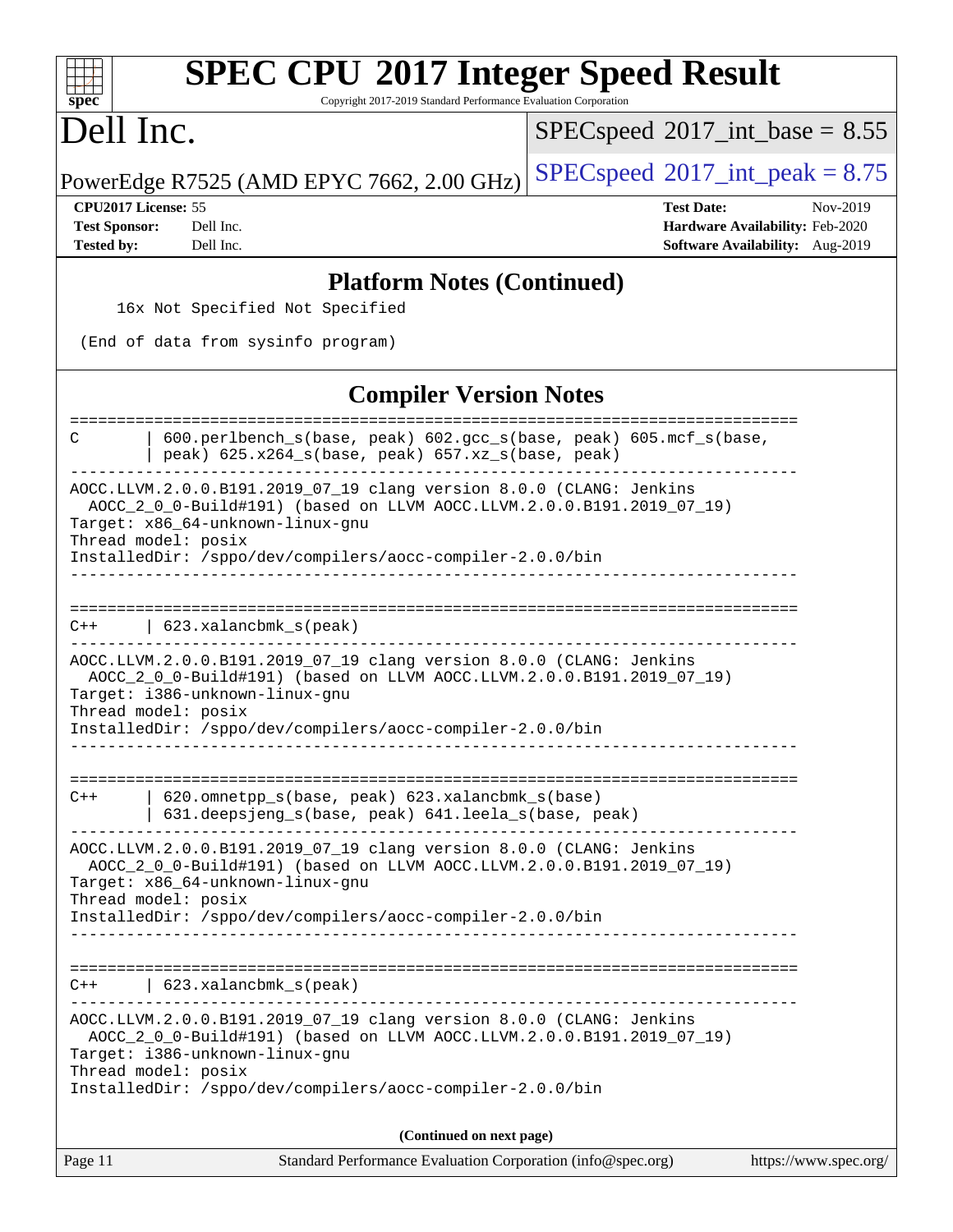| <b>SPEC CPU®2017 Integer Speed Result</b><br>Copyright 2017-2019 Standard Performance Evaluation Corporation<br>$spec^*$                                                                                                                                           |                                                                                                     |  |  |  |  |  |  |  |
|--------------------------------------------------------------------------------------------------------------------------------------------------------------------------------------------------------------------------------------------------------------------|-----------------------------------------------------------------------------------------------------|--|--|--|--|--|--|--|
| Dell Inc.                                                                                                                                                                                                                                                          | $SPEC speed^{\circ}2017\_int\_base = 8.55$                                                          |  |  |  |  |  |  |  |
| PowerEdge R7525 (AMD EPYC 7662, 2.00 GHz)                                                                                                                                                                                                                          | $SPEC speed^{\circ}2017\_int\_peak = 8.75$                                                          |  |  |  |  |  |  |  |
| CPU2017 License: 55<br><b>Test Sponsor:</b><br>Dell Inc.<br><b>Tested by:</b><br>Dell Inc.                                                                                                                                                                         | <b>Test Date:</b><br>Nov-2019<br>Hardware Availability: Feb-2020<br>Software Availability: Aug-2019 |  |  |  |  |  |  |  |
| <b>Platform Notes (Continued)</b>                                                                                                                                                                                                                                  |                                                                                                     |  |  |  |  |  |  |  |
| 16x Not Specified Not Specified                                                                                                                                                                                                                                    |                                                                                                     |  |  |  |  |  |  |  |
| (End of data from sysinfo program)                                                                                                                                                                                                                                 |                                                                                                     |  |  |  |  |  |  |  |
| <b>Compiler Version Notes</b>                                                                                                                                                                                                                                      |                                                                                                     |  |  |  |  |  |  |  |
| 600.perlbench_s(base, peak) 602.gcc_s(base, peak) 605.mcf_s(base,<br>С<br>peak) 625.x264_s(base, peak) 657.xz_s(base, peak)                                                                                                                                        |                                                                                                     |  |  |  |  |  |  |  |
| AOCC.LLVM.2.0.0.B191.2019_07_19 clang version 8.0.0 (CLANG: Jenkins<br>AOCC_2_0_0-Build#191) (based on LLVM AOCC.LLVM.2.0.0.B191.2019_07_19)<br>Target: x86_64-unknown-linux-gnu<br>Thread model: posix                                                            |                                                                                                     |  |  |  |  |  |  |  |
| InstalledDir: /sppo/dev/compilers/aocc-compiler-2.0.0/bin                                                                                                                                                                                                          |                                                                                                     |  |  |  |  |  |  |  |
| $623.xalanchm k_s (peak)$<br>$C++$                                                                                                                                                                                                                                 |                                                                                                     |  |  |  |  |  |  |  |
| AOCC.LLVM.2.0.0.B191.2019_07_19 clang version 8.0.0 (CLANG: Jenkins<br>AOCC_2_0_0-Build#191) (based on LLVM AOCC.LLVM.2.0.0.B191.2019_07_19)<br>Target: i386-unknown-linux-gnu<br>Thread model: posix                                                              |                                                                                                     |  |  |  |  |  |  |  |
| InstalledDir: /sppo/dev/compilers/aocc-compiler-2.0.0/bin                                                                                                                                                                                                          |                                                                                                     |  |  |  |  |  |  |  |
| 620.omnetpp_s(base, peak) 623.xalancbmk_s(base)<br>$C++$<br>631.deepsjeng_s(base, peak) 641.leela_s(base, peak)                                                                                                                                                    |                                                                                                     |  |  |  |  |  |  |  |
| AOCC.LLVM.2.0.0.B191.2019_07_19 clang version 8.0.0 (CLANG: Jenkins<br>AOCC_2_0_0-Build#191) (based on LLVM AOCC.LLVM.2.0.0.B191.2019_07_19)<br>Target: x86_64-unknown-linux-gnu<br>Thread model: posix                                                            |                                                                                                     |  |  |  |  |  |  |  |
| InstalledDir: /sppo/dev/compilers/aocc-compiler-2.0.0/bin                                                                                                                                                                                                          |                                                                                                     |  |  |  |  |  |  |  |
| $623.xalanchm k_s (peak)$<br>$C++$                                                                                                                                                                                                                                 |                                                                                                     |  |  |  |  |  |  |  |
| AOCC.LLVM.2.0.0.B191.2019_07_19 clang version 8.0.0 (CLANG: Jenkins<br>AOCC_2_0_0-Build#191) (based on LLVM AOCC.LLVM.2.0.0.B191.2019_07_19)<br>Target: i386-unknown-linux-gnu<br>Thread model: posix<br>InstalledDir: /sppo/dev/compilers/aocc-compiler-2.0.0/bin |                                                                                                     |  |  |  |  |  |  |  |
| (Continued on next page)                                                                                                                                                                                                                                           |                                                                                                     |  |  |  |  |  |  |  |
| Page 11<br>Standard Performance Evaluation Corporation (info@spec.org)                                                                                                                                                                                             | https://www.spec.org/                                                                               |  |  |  |  |  |  |  |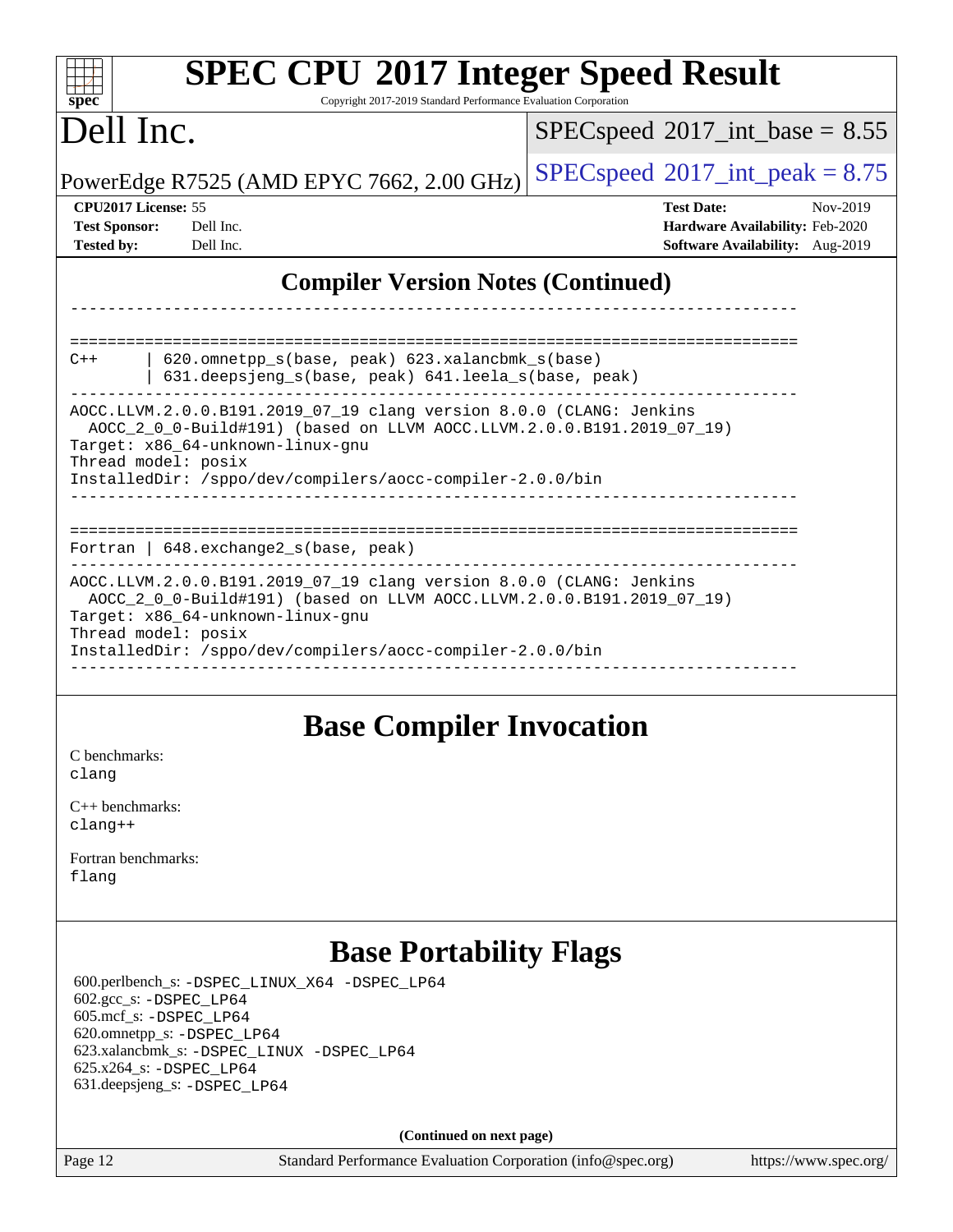| <b>SPEC CPU®2017 Integer Speed Result</b><br>$spec^*$<br>Copyright 2017-2019 Standard Performance Evaluation Corporation                                                                                                                                                                                                                                                                       |                                                                                                     |
|------------------------------------------------------------------------------------------------------------------------------------------------------------------------------------------------------------------------------------------------------------------------------------------------------------------------------------------------------------------------------------------------|-----------------------------------------------------------------------------------------------------|
| Dell Inc.                                                                                                                                                                                                                                                                                                                                                                                      | $SPEC speed^{\circ}2017\_int\_base = 8.55$                                                          |
| PowerEdge R7525 (AMD EPYC 7662, 2.00 GHz)                                                                                                                                                                                                                                                                                                                                                      | $SPEC speed^{\circ}2017\_int\_peak = 8.75$                                                          |
| CPU2017 License: 55<br><b>Test Sponsor:</b><br>Dell Inc.<br><b>Tested by:</b><br>Dell Inc.                                                                                                                                                                                                                                                                                                     | <b>Test Date:</b><br>Nov-2019<br>Hardware Availability: Feb-2020<br>Software Availability: Aug-2019 |
| <b>Compiler Version Notes (Continued)</b>                                                                                                                                                                                                                                                                                                                                                      |                                                                                                     |
| $620$ .omnetpp $s(base, peak)$ 623.xalancbmk $s(base)$<br>$C++$<br>631.deepsjeng_s(base, peak) 641.leela_s(base, peak)<br>AOCC.LLVM.2.0.0.B191.2019 07 19 clang version 8.0.0 (CLANG: Jenkins<br>AOCC_2_0_0-Build#191) (based on LLVM AOCC.LLVM.2.0.0.B191.2019_07_19)<br>Target: x86 64-unknown-linux-gnu<br>Thread model: posix<br>InstalledDir: /sppo/dev/compilers/aocc-compiler-2.0.0/bin |                                                                                                     |
| Fortran   648. exchange2_s(base, peak)                                                                                                                                                                                                                                                                                                                                                         |                                                                                                     |
| AOCC.LLVM.2.0.0.B191.2019_07_19 clang version 8.0.0 (CLANG: Jenkins<br>AOCC_2_0_0-Build#191) (based on LLVM AOCC.LLVM.2.0.0.B191.2019_07_19)<br>Target: x86_64-unknown-linux-gnu<br>Thread model: posix<br>InstalledDir: /sppo/dev/compilers/aocc-compiler-2.0.0/bin                                                                                                                           |                                                                                                     |

#### **[Base Compiler Invocation](http://www.spec.org/auto/cpu2017/Docs/result-fields.html#BaseCompilerInvocation)**

[C benchmarks](http://www.spec.org/auto/cpu2017/Docs/result-fields.html#Cbenchmarks): [clang](http://www.spec.org/cpu2017/results/res2019q4/cpu2017-20191208-20214.flags.html#user_CCbase_clang-c)

[C++ benchmarks:](http://www.spec.org/auto/cpu2017/Docs/result-fields.html#CXXbenchmarks) [clang++](http://www.spec.org/cpu2017/results/res2019q4/cpu2017-20191208-20214.flags.html#user_CXXbase_clang-cpp)

[Fortran benchmarks](http://www.spec.org/auto/cpu2017/Docs/result-fields.html#Fortranbenchmarks): [flang](http://www.spec.org/cpu2017/results/res2019q4/cpu2017-20191208-20214.flags.html#user_FCbase_flang)

#### **[Base Portability Flags](http://www.spec.org/auto/cpu2017/Docs/result-fields.html#BasePortabilityFlags)**

 600.perlbench\_s: [-DSPEC\\_LINUX\\_X64](http://www.spec.org/cpu2017/results/res2019q4/cpu2017-20191208-20214.flags.html#b600.perlbench_s_basePORTABILITY_DSPEC_LINUX_X64) [-DSPEC\\_LP64](http://www.spec.org/cpu2017/results/res2019q4/cpu2017-20191208-20214.flags.html#b600.perlbench_s_baseEXTRA_PORTABILITY_DSPEC_LP64) 602.gcc\_s: [-DSPEC\\_LP64](http://www.spec.org/cpu2017/results/res2019q4/cpu2017-20191208-20214.flags.html#suite_baseEXTRA_PORTABILITY602_gcc_s_DSPEC_LP64) 605.mcf\_s: [-DSPEC\\_LP64](http://www.spec.org/cpu2017/results/res2019q4/cpu2017-20191208-20214.flags.html#suite_baseEXTRA_PORTABILITY605_mcf_s_DSPEC_LP64) 620.omnetpp\_s: [-DSPEC\\_LP64](http://www.spec.org/cpu2017/results/res2019q4/cpu2017-20191208-20214.flags.html#suite_baseEXTRA_PORTABILITY620_omnetpp_s_DSPEC_LP64) 623.xalancbmk\_s: [-DSPEC\\_LINUX](http://www.spec.org/cpu2017/results/res2019q4/cpu2017-20191208-20214.flags.html#b623.xalancbmk_s_basePORTABILITY_DSPEC_LINUX) [-DSPEC\\_LP64](http://www.spec.org/cpu2017/results/res2019q4/cpu2017-20191208-20214.flags.html#suite_baseEXTRA_PORTABILITY623_xalancbmk_s_DSPEC_LP64) 625.x264\_s: [-DSPEC\\_LP64](http://www.spec.org/cpu2017/results/res2019q4/cpu2017-20191208-20214.flags.html#suite_baseEXTRA_PORTABILITY625_x264_s_DSPEC_LP64) 631.deepsjeng\_s: [-DSPEC\\_LP64](http://www.spec.org/cpu2017/results/res2019q4/cpu2017-20191208-20214.flags.html#suite_baseEXTRA_PORTABILITY631_deepsjeng_s_DSPEC_LP64)

**(Continued on next page)**

Page 12 Standard Performance Evaluation Corporation [\(info@spec.org\)](mailto:info@spec.org) <https://www.spec.org/>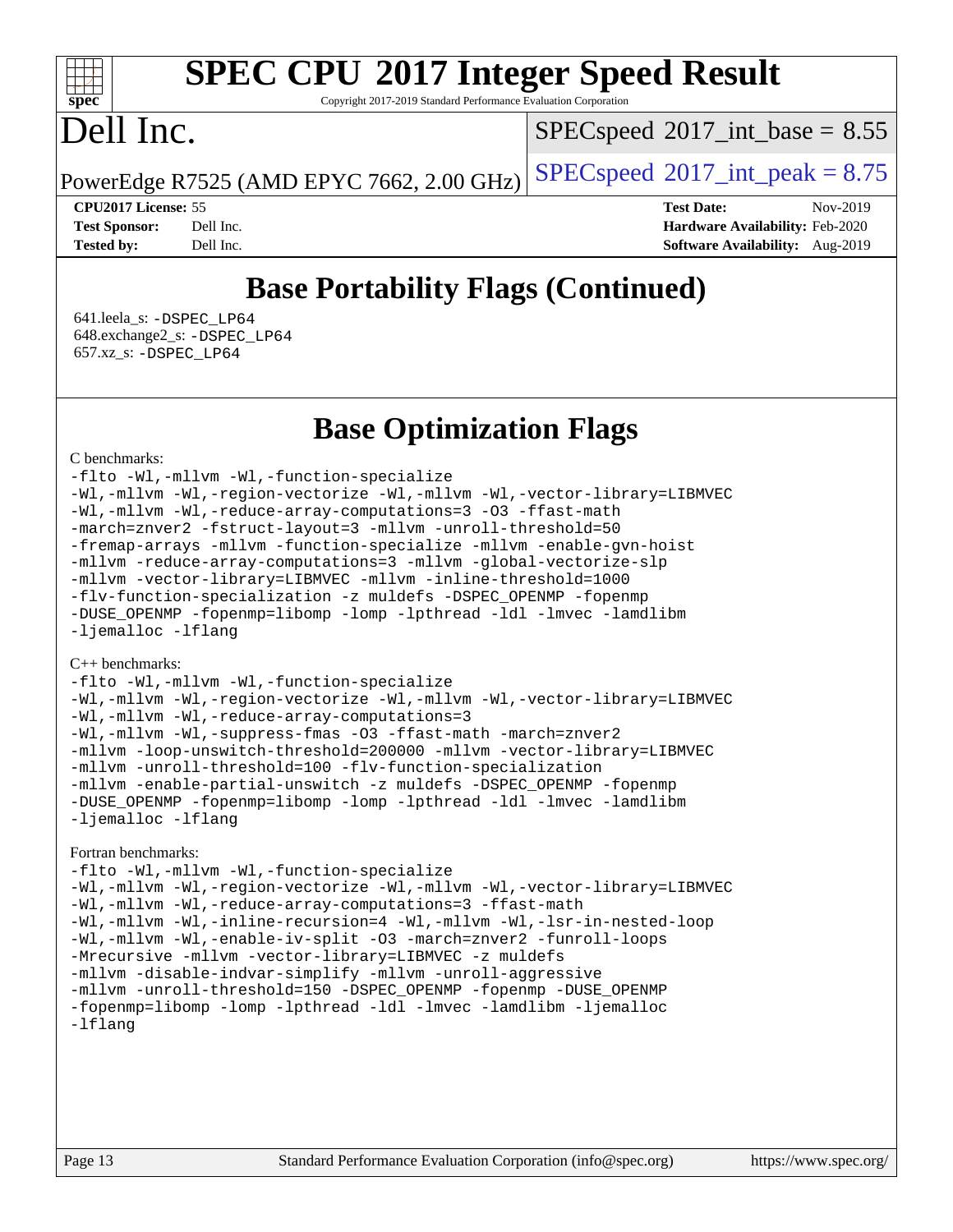Copyright 2017-2019 Standard Performance Evaluation Corporation

# Dell Inc.

**[spec](http://www.spec.org/)**

dd h

 $SPECspeed^{\circledcirc}2017\_int\_base = 8.55$  $SPECspeed^{\circledcirc}2017\_int\_base = 8.55$ 

PowerEdge R7525 (AMD EPYC 7662, 2.00 GHz)  $\left|$  [SPECspeed](http://www.spec.org/auto/cpu2017/Docs/result-fields.html#SPECspeed2017intpeak)®[2017\\_int\\_peak = 8](http://www.spec.org/auto/cpu2017/Docs/result-fields.html#SPECspeed2017intpeak).75

**[CPU2017 License:](http://www.spec.org/auto/cpu2017/Docs/result-fields.html#CPU2017License)** 55 **[Test Date:](http://www.spec.org/auto/cpu2017/Docs/result-fields.html#TestDate)** Nov-2019 **[Test Sponsor:](http://www.spec.org/auto/cpu2017/Docs/result-fields.html#TestSponsor)** Dell Inc. **[Hardware Availability:](http://www.spec.org/auto/cpu2017/Docs/result-fields.html#HardwareAvailability)** Feb-2020 **[Tested by:](http://www.spec.org/auto/cpu2017/Docs/result-fields.html#Testedby)** Dell Inc. **[Software Availability:](http://www.spec.org/auto/cpu2017/Docs/result-fields.html#SoftwareAvailability)** Aug-2019

### **[Base Portability Flags \(Continued\)](http://www.spec.org/auto/cpu2017/Docs/result-fields.html#BasePortabilityFlags)**

 641.leela\_s: [-DSPEC\\_LP64](http://www.spec.org/cpu2017/results/res2019q4/cpu2017-20191208-20214.flags.html#suite_baseEXTRA_PORTABILITY641_leela_s_DSPEC_LP64) 648.exchange2\_s: [-DSPEC\\_LP64](http://www.spec.org/cpu2017/results/res2019q4/cpu2017-20191208-20214.flags.html#suite_baseEXTRA_PORTABILITY648_exchange2_s_DSPEC_LP64) 657.xz\_s: [-DSPEC\\_LP64](http://www.spec.org/cpu2017/results/res2019q4/cpu2017-20191208-20214.flags.html#suite_baseEXTRA_PORTABILITY657_xz_s_DSPEC_LP64)

#### **[Base Optimization Flags](http://www.spec.org/auto/cpu2017/Docs/result-fields.html#BaseOptimizationFlags)**

#### [C benchmarks](http://www.spec.org/auto/cpu2017/Docs/result-fields.html#Cbenchmarks):

[-flto](http://www.spec.org/cpu2017/results/res2019q4/cpu2017-20191208-20214.flags.html#user_CCbase_aocc-flto) [-Wl,-mllvm -Wl,-function-specialize](http://www.spec.org/cpu2017/results/res2019q4/cpu2017-20191208-20214.flags.html#user_CCbase_F-function-specialize_7e7e661e57922243ee67c9a1251cb8910e607325179a0ce7f2884e09a6f5d4a5ef0ae4f37e8a2a11c95fc48e931f06dc2b6016f14b511fcb441e048bef1b065a) [-Wl,-mllvm -Wl,-region-vectorize](http://www.spec.org/cpu2017/results/res2019q4/cpu2017-20191208-20214.flags.html#user_CCbase_F-region-vectorize_fb6c6b5aa293c88efc6c7c2b52b20755e943585b1fe8658c35afef78727fff56e1a56891413c30e36b8e2a6f9a71126986319243e80eb6110b78b288f533c52b) [-Wl,-mllvm -Wl,-vector-library=LIBMVEC](http://www.spec.org/cpu2017/results/res2019q4/cpu2017-20191208-20214.flags.html#user_CCbase_F-use-vector-library_0a14b27fae317f283640384a31f7bfcc2bd4c1d0b5cfc618a3a430800c9b20217b00f61303eff223a3251b4f06ffbc9739dc5296db9d1fbb9ad24a3939d86d66) [-Wl,-mllvm -Wl,-reduce-array-computations=3](http://www.spec.org/cpu2017/results/res2019q4/cpu2017-20191208-20214.flags.html#user_CCbase_F-reduce-array-computations_b882aefe7a5dda4e33149f6299762b9a720dace3e498e13756f4c04e5a19edf5315c1f3993de2e61ec41e8c206231f84e05da7040e1bb5d69ba27d10a12507e4) [-O3](http://www.spec.org/cpu2017/results/res2019q4/cpu2017-20191208-20214.flags.html#user_CCbase_F-O3) [-ffast-math](http://www.spec.org/cpu2017/results/res2019q4/cpu2017-20191208-20214.flags.html#user_CCbase_aocc-ffast-math) [-march=znver2](http://www.spec.org/cpu2017/results/res2019q4/cpu2017-20191208-20214.flags.html#user_CCbase_aocc-march_3e2e19cff2eeef60c5d90b059483627c9ea47eca6d66670dbd53f9185f6439e27eb5e104cf773e9e8ab18c8842ce63e461a3e948d0214bd567ef3ade411bf467) [-fstruct-layout=3](http://www.spec.org/cpu2017/results/res2019q4/cpu2017-20191208-20214.flags.html#user_CCbase_F-struct-layout) [-mllvm -unroll-threshold=50](http://www.spec.org/cpu2017/results/res2019q4/cpu2017-20191208-20214.flags.html#user_CCbase_F-unroll-threshold_458874500b2c105d6d5cb4d7a611c40e2b16e9e3d26b355fea72d644c3673b4de4b3932662f0ed3dbec75c491a13da2d2ca81180bd779dc531083ef1e1e549dc) [-fremap-arrays](http://www.spec.org/cpu2017/results/res2019q4/cpu2017-20191208-20214.flags.html#user_CCbase_F-fremap-arrays) [-mllvm -function-specialize](http://www.spec.org/cpu2017/results/res2019q4/cpu2017-20191208-20214.flags.html#user_CCbase_F-function-specialize_233b3bdba86027f1b094368157e481c5bc59f40286dc25bfadc1858dcd5745c24fd30d5f188710db7fea399bcc9f44a80b3ce3aacc70a8870250c3ae5e1f35b8) [-mllvm -enable-gvn-hoist](http://www.spec.org/cpu2017/results/res2019q4/cpu2017-20191208-20214.flags.html#user_CCbase_F-enable-gvn-hoist_e5856354646dd6ca1333a0ad99b817e4cf8932b91b82809fd8fd47ceff7b22a89eba5c98fd3e3fa5200368fd772cec3dd56abc3c8f7b655a71b9f9848dddedd5) [-mllvm -reduce-array-computations=3](http://www.spec.org/cpu2017/results/res2019q4/cpu2017-20191208-20214.flags.html#user_CCbase_F-reduce-array-computations_aceadb8604558b566e0e3a0d7a3c1533923dd1fa0889614e16288028922629a28d5695c24d3b3be4306b1e311c54317dfffe3a2e57fbcaabc737a1798de39145) [-mllvm -global-vectorize-slp](http://www.spec.org/cpu2017/results/res2019q4/cpu2017-20191208-20214.flags.html#user_CCbase_F-global-vectorize-slp_a3935e8627af4ced727033b1ffd4db27f4d541a363d28d82bf4c2925fb3a0fd4115d6e42d13a2829f9e024d6608eb67a85cb49770f2da5c5ac8dbc737afad603) [-mllvm -vector-library=LIBMVEC](http://www.spec.org/cpu2017/results/res2019q4/cpu2017-20191208-20214.flags.html#user_CCbase_F-use-vector-library_e584e20b4f7ec96aa109254b65d8e01d864f3d68580371b9d93ed7c338191d4cfce20c3c864632264effc6bbe4c7c38153d02096a342ee92501c4a53204a7871) [-mllvm -inline-threshold=1000](http://www.spec.org/cpu2017/results/res2019q4/cpu2017-20191208-20214.flags.html#user_CCbase_dragonegg-llvm-inline-threshold_b7832241b0a6397e4ecdbaf0eb7defdc10f885c2a282fa3240fdc99844d543fda39cf8a4a9dccf68cf19b5438ac3b455264f478df15da0f4988afa40d8243bab) [-flv-function-specialization](http://www.spec.org/cpu2017/results/res2019q4/cpu2017-20191208-20214.flags.html#user_CCbase_F-flv-function-specialization) [-z muldefs](http://www.spec.org/cpu2017/results/res2019q4/cpu2017-20191208-20214.flags.html#user_CCbase_aocc-muldefs) [-DSPEC\\_OPENMP](http://www.spec.org/cpu2017/results/res2019q4/cpu2017-20191208-20214.flags.html#suite_CCbase_DSPEC_OPENMP) [-fopenmp](http://www.spec.org/cpu2017/results/res2019q4/cpu2017-20191208-20214.flags.html#user_CCbase_aocc-fopenmp) [-DUSE\\_OPENMP](http://www.spec.org/cpu2017/results/res2019q4/cpu2017-20191208-20214.flags.html#user_CCbase_F-DUSE_OPENMP) [-fopenmp=libomp](http://www.spec.org/cpu2017/results/res2019q4/cpu2017-20191208-20214.flags.html#user_CCbase_aocc-fopenmp_3eb6ab80166bcc84161ff8c20c8d5bc344f88119f45620444596454f7d72e99b7a0ceefc2d1b4d190bd07306bbfdfc20f11f5a2dc69c9b03c72239f8406741c3) [-lomp](http://www.spec.org/cpu2017/results/res2019q4/cpu2017-20191208-20214.flags.html#user_CCbase_F-lomp) [-lpthread](http://www.spec.org/cpu2017/results/res2019q4/cpu2017-20191208-20214.flags.html#user_CCbase_F-lpthread) [-ldl](http://www.spec.org/cpu2017/results/res2019q4/cpu2017-20191208-20214.flags.html#user_CCbase_F-ldl) [-lmvec](http://www.spec.org/cpu2017/results/res2019q4/cpu2017-20191208-20214.flags.html#user_CCbase_F-lmvec) [-lamdlibm](http://www.spec.org/cpu2017/results/res2019q4/cpu2017-20191208-20214.flags.html#user_CCbase_F-lamdlibm) [-ljemalloc](http://www.spec.org/cpu2017/results/res2019q4/cpu2017-20191208-20214.flags.html#user_CCbase_jemalloc-lib) [-lflang](http://www.spec.org/cpu2017/results/res2019q4/cpu2017-20191208-20214.flags.html#user_CCbase_F-lflang)

#### [C++ benchmarks:](http://www.spec.org/auto/cpu2017/Docs/result-fields.html#CXXbenchmarks)

[-flto](http://www.spec.org/cpu2017/results/res2019q4/cpu2017-20191208-20214.flags.html#user_CXXbase_aocc-flto) [-Wl,-mllvm -Wl,-function-specialize](http://www.spec.org/cpu2017/results/res2019q4/cpu2017-20191208-20214.flags.html#user_CXXbase_F-function-specialize_7e7e661e57922243ee67c9a1251cb8910e607325179a0ce7f2884e09a6f5d4a5ef0ae4f37e8a2a11c95fc48e931f06dc2b6016f14b511fcb441e048bef1b065a) [-Wl,-mllvm -Wl,-region-vectorize](http://www.spec.org/cpu2017/results/res2019q4/cpu2017-20191208-20214.flags.html#user_CXXbase_F-region-vectorize_fb6c6b5aa293c88efc6c7c2b52b20755e943585b1fe8658c35afef78727fff56e1a56891413c30e36b8e2a6f9a71126986319243e80eb6110b78b288f533c52b) [-Wl,-mllvm -Wl,-vector-library=LIBMVEC](http://www.spec.org/cpu2017/results/res2019q4/cpu2017-20191208-20214.flags.html#user_CXXbase_F-use-vector-library_0a14b27fae317f283640384a31f7bfcc2bd4c1d0b5cfc618a3a430800c9b20217b00f61303eff223a3251b4f06ffbc9739dc5296db9d1fbb9ad24a3939d86d66) [-Wl,-mllvm -Wl,-reduce-array-computations=3](http://www.spec.org/cpu2017/results/res2019q4/cpu2017-20191208-20214.flags.html#user_CXXbase_F-reduce-array-computations_b882aefe7a5dda4e33149f6299762b9a720dace3e498e13756f4c04e5a19edf5315c1f3993de2e61ec41e8c206231f84e05da7040e1bb5d69ba27d10a12507e4) [-Wl,-mllvm -Wl,-suppress-fmas](http://www.spec.org/cpu2017/results/res2019q4/cpu2017-20191208-20214.flags.html#user_CXXbase_F-suppress-fmas_f00f00630e4a059e8af9c161e9bbf420bcf19890a7f99d5933525e66aa4b0bb3ab2339d2b12d97d3a5f5d271e839fe9c109938e91fe06230fb53651590cfa1e8) [-O3](http://www.spec.org/cpu2017/results/res2019q4/cpu2017-20191208-20214.flags.html#user_CXXbase_F-O3) [-ffast-math](http://www.spec.org/cpu2017/results/res2019q4/cpu2017-20191208-20214.flags.html#user_CXXbase_aocc-ffast-math) [-march=znver2](http://www.spec.org/cpu2017/results/res2019q4/cpu2017-20191208-20214.flags.html#user_CXXbase_aocc-march_3e2e19cff2eeef60c5d90b059483627c9ea47eca6d66670dbd53f9185f6439e27eb5e104cf773e9e8ab18c8842ce63e461a3e948d0214bd567ef3ade411bf467) [-mllvm -loop-unswitch-threshold=200000](http://www.spec.org/cpu2017/results/res2019q4/cpu2017-20191208-20214.flags.html#user_CXXbase_F-loop-unswitch-threshold_f9a82ae3270e55b5fbf79d0d96ee93606b73edbbe527d20b18b7bff1a3a146ad50cfc7454c5297978340ae9213029016a7d16221274d672d3f7f42ed25274e1d) [-mllvm -vector-library=LIBMVEC](http://www.spec.org/cpu2017/results/res2019q4/cpu2017-20191208-20214.flags.html#user_CXXbase_F-use-vector-library_e584e20b4f7ec96aa109254b65d8e01d864f3d68580371b9d93ed7c338191d4cfce20c3c864632264effc6bbe4c7c38153d02096a342ee92501c4a53204a7871) [-mllvm -unroll-threshold=100](http://www.spec.org/cpu2017/results/res2019q4/cpu2017-20191208-20214.flags.html#user_CXXbase_F-unroll-threshold_2755d0c78138845d361fa1543e3a063fffa198df9b3edf0cfb856bbc88a81e1769b12ac7a550c5d35197be55360db1a3f95a8d1304df999456cabf5120c45168) [-flv-function-specialization](http://www.spec.org/cpu2017/results/res2019q4/cpu2017-20191208-20214.flags.html#user_CXXbase_F-flv-function-specialization) [-mllvm -enable-partial-unswitch](http://www.spec.org/cpu2017/results/res2019q4/cpu2017-20191208-20214.flags.html#user_CXXbase_F-enable-partial-unswitch_6e1c33f981d77963b1eaf834973128a7f33ce3f8e27f54689656697a35e89dcc875281e0e6283d043e32f367dcb605ba0e307a92e830f7e326789fa6c61b35d3) [-z muldefs](http://www.spec.org/cpu2017/results/res2019q4/cpu2017-20191208-20214.flags.html#user_CXXbase_aocc-muldefs) [-DSPEC\\_OPENMP](http://www.spec.org/cpu2017/results/res2019q4/cpu2017-20191208-20214.flags.html#suite_CXXbase_DSPEC_OPENMP) [-fopenmp](http://www.spec.org/cpu2017/results/res2019q4/cpu2017-20191208-20214.flags.html#user_CXXbase_aocc-fopenmp) [-DUSE\\_OPENMP](http://www.spec.org/cpu2017/results/res2019q4/cpu2017-20191208-20214.flags.html#user_CXXbase_F-DUSE_OPENMP) [-fopenmp=libomp](http://www.spec.org/cpu2017/results/res2019q4/cpu2017-20191208-20214.flags.html#user_CXXbase_aocc-fopenmp_3eb6ab80166bcc84161ff8c20c8d5bc344f88119f45620444596454f7d72e99b7a0ceefc2d1b4d190bd07306bbfdfc20f11f5a2dc69c9b03c72239f8406741c3) [-lomp](http://www.spec.org/cpu2017/results/res2019q4/cpu2017-20191208-20214.flags.html#user_CXXbase_F-lomp) [-lpthread](http://www.spec.org/cpu2017/results/res2019q4/cpu2017-20191208-20214.flags.html#user_CXXbase_F-lpthread) [-ldl](http://www.spec.org/cpu2017/results/res2019q4/cpu2017-20191208-20214.flags.html#user_CXXbase_F-ldl) [-lmvec](http://www.spec.org/cpu2017/results/res2019q4/cpu2017-20191208-20214.flags.html#user_CXXbase_F-lmvec) [-lamdlibm](http://www.spec.org/cpu2017/results/res2019q4/cpu2017-20191208-20214.flags.html#user_CXXbase_F-lamdlibm) [-ljemalloc](http://www.spec.org/cpu2017/results/res2019q4/cpu2017-20191208-20214.flags.html#user_CXXbase_jemalloc-lib) [-lflang](http://www.spec.org/cpu2017/results/res2019q4/cpu2017-20191208-20214.flags.html#user_CXXbase_F-lflang)

#### [Fortran benchmarks](http://www.spec.org/auto/cpu2017/Docs/result-fields.html#Fortranbenchmarks):

[-flto](http://www.spec.org/cpu2017/results/res2019q4/cpu2017-20191208-20214.flags.html#user_FCbase_aocc-flto) [-Wl,-mllvm -Wl,-function-specialize](http://www.spec.org/cpu2017/results/res2019q4/cpu2017-20191208-20214.flags.html#user_FCbase_F-function-specialize_7e7e661e57922243ee67c9a1251cb8910e607325179a0ce7f2884e09a6f5d4a5ef0ae4f37e8a2a11c95fc48e931f06dc2b6016f14b511fcb441e048bef1b065a) [-Wl,-mllvm -Wl,-region-vectorize](http://www.spec.org/cpu2017/results/res2019q4/cpu2017-20191208-20214.flags.html#user_FCbase_F-region-vectorize_fb6c6b5aa293c88efc6c7c2b52b20755e943585b1fe8658c35afef78727fff56e1a56891413c30e36b8e2a6f9a71126986319243e80eb6110b78b288f533c52b) [-Wl,-mllvm -Wl,-vector-library=LIBMVEC](http://www.spec.org/cpu2017/results/res2019q4/cpu2017-20191208-20214.flags.html#user_FCbase_F-use-vector-library_0a14b27fae317f283640384a31f7bfcc2bd4c1d0b5cfc618a3a430800c9b20217b00f61303eff223a3251b4f06ffbc9739dc5296db9d1fbb9ad24a3939d86d66) [-Wl,-mllvm -Wl,-reduce-array-computations=3](http://www.spec.org/cpu2017/results/res2019q4/cpu2017-20191208-20214.flags.html#user_FCbase_F-reduce-array-computations_b882aefe7a5dda4e33149f6299762b9a720dace3e498e13756f4c04e5a19edf5315c1f3993de2e61ec41e8c206231f84e05da7040e1bb5d69ba27d10a12507e4) [-ffast-math](http://www.spec.org/cpu2017/results/res2019q4/cpu2017-20191208-20214.flags.html#user_FCbase_aocc-ffast-math) [-Wl,-mllvm -Wl,-inline-recursion=4](http://www.spec.org/cpu2017/results/res2019q4/cpu2017-20191208-20214.flags.html#user_FCbase_F-inline-recursion) [-Wl,-mllvm -Wl,-lsr-in-nested-loop](http://www.spec.org/cpu2017/results/res2019q4/cpu2017-20191208-20214.flags.html#user_FCbase_F-lsr-in-nested-loop_de4bc7331d07d857538198a5cc9592bc905d78a18065d49b9acfd1f777ae9eca5716aaa3e0e674a48e2e5ec9dad184ee0c682635ad7eff4181b32ab748bf2f49) [-Wl,-mllvm -Wl,-enable-iv-split](http://www.spec.org/cpu2017/results/res2019q4/cpu2017-20191208-20214.flags.html#user_FCbase_F-enable-iv-split_efc18925ba63acc4bb74cb6e43d0987b7b3cf01924ad910e2a6edbbbd0f8b582e31f1ee7ccede3f08176ef2ad41c69507170fb32301bf478d45ceb38dfb89c5e) [-O3](http://www.spec.org/cpu2017/results/res2019q4/cpu2017-20191208-20214.flags.html#user_FCbase_F-O3) [-march=znver2](http://www.spec.org/cpu2017/results/res2019q4/cpu2017-20191208-20214.flags.html#user_FCbase_aocc-march_3e2e19cff2eeef60c5d90b059483627c9ea47eca6d66670dbd53f9185f6439e27eb5e104cf773e9e8ab18c8842ce63e461a3e948d0214bd567ef3ade411bf467) [-funroll-loops](http://www.spec.org/cpu2017/results/res2019q4/cpu2017-20191208-20214.flags.html#user_FCbase_aocc-unroll-loops) [-Mrecursive](http://www.spec.org/cpu2017/results/res2019q4/cpu2017-20191208-20214.flags.html#user_FCbase_F-mrecursive_20a145d63f12d5750a899e17d4450b5b8b40330a9bb4af13688ca650e6fb30857bbbe44fb35cdbb895df6e5b2769de0a0d7659f51ff17acfbef6febafec4023f) [-mllvm -vector-library=LIBMVEC](http://www.spec.org/cpu2017/results/res2019q4/cpu2017-20191208-20214.flags.html#user_FCbase_F-use-vector-library_e584e20b4f7ec96aa109254b65d8e01d864f3d68580371b9d93ed7c338191d4cfce20c3c864632264effc6bbe4c7c38153d02096a342ee92501c4a53204a7871) [-z muldefs](http://www.spec.org/cpu2017/results/res2019q4/cpu2017-20191208-20214.flags.html#user_FCbase_aocc-muldefs) [-mllvm -disable-indvar-simplify](http://www.spec.org/cpu2017/results/res2019q4/cpu2017-20191208-20214.flags.html#user_FCbase_F-disable-indvar-simplify_c8d861bf19eba5001219ab52ef051176e06bf3166017d5c1ce87aec66e795c6723d10bf23d5a91730d61ad4b3f566b39dd0a4d6e5b2af269ebae30428a1f3630) [-mllvm -unroll-aggressive](http://www.spec.org/cpu2017/results/res2019q4/cpu2017-20191208-20214.flags.html#user_FCbase_F-unroll-aggressive_a366db20af3fd871754361e6b05945ac700b8c3fc538cc6688c755ae5874c6da3d6f3bb6e8d93320d5094064830fdb2c06064831f0f08d916cd8f333e5dba6d9) [-mllvm -unroll-threshold=150](http://www.spec.org/cpu2017/results/res2019q4/cpu2017-20191208-20214.flags.html#user_FCbase_F-unroll-threshold_3352736ce55666ed13437f5f5fd6693920e68d4dfd26bba42492bb1c46b6d7692ff5ba7bd4d2ebdab48d140ca981a39154ff0664b4d322a66fc3d1aafa4d7ffe) [-DSPEC\\_OPENMP](http://www.spec.org/cpu2017/results/res2019q4/cpu2017-20191208-20214.flags.html#suite_FCbase_DSPEC_OPENMP) [-fopenmp](http://www.spec.org/cpu2017/results/res2019q4/cpu2017-20191208-20214.flags.html#user_FCbase_aocc-fopenmp) [-DUSE\\_OPENMP](http://www.spec.org/cpu2017/results/res2019q4/cpu2017-20191208-20214.flags.html#user_FCbase_F-DUSE_OPENMP) [-fopenmp=libomp](http://www.spec.org/cpu2017/results/res2019q4/cpu2017-20191208-20214.flags.html#user_FCbase_aocc-fopenmp_3eb6ab80166bcc84161ff8c20c8d5bc344f88119f45620444596454f7d72e99b7a0ceefc2d1b4d190bd07306bbfdfc20f11f5a2dc69c9b03c72239f8406741c3) [-lomp](http://www.spec.org/cpu2017/results/res2019q4/cpu2017-20191208-20214.flags.html#user_FCbase_F-lomp) [-lpthread](http://www.spec.org/cpu2017/results/res2019q4/cpu2017-20191208-20214.flags.html#user_FCbase_F-lpthread) [-ldl](http://www.spec.org/cpu2017/results/res2019q4/cpu2017-20191208-20214.flags.html#user_FCbase_F-ldl) [-lmvec](http://www.spec.org/cpu2017/results/res2019q4/cpu2017-20191208-20214.flags.html#user_FCbase_F-lmvec) [-lamdlibm](http://www.spec.org/cpu2017/results/res2019q4/cpu2017-20191208-20214.flags.html#user_FCbase_F-lamdlibm) [-ljemalloc](http://www.spec.org/cpu2017/results/res2019q4/cpu2017-20191208-20214.flags.html#user_FCbase_jemalloc-lib) [-lflang](http://www.spec.org/cpu2017/results/res2019q4/cpu2017-20191208-20214.flags.html#user_FCbase_F-lflang)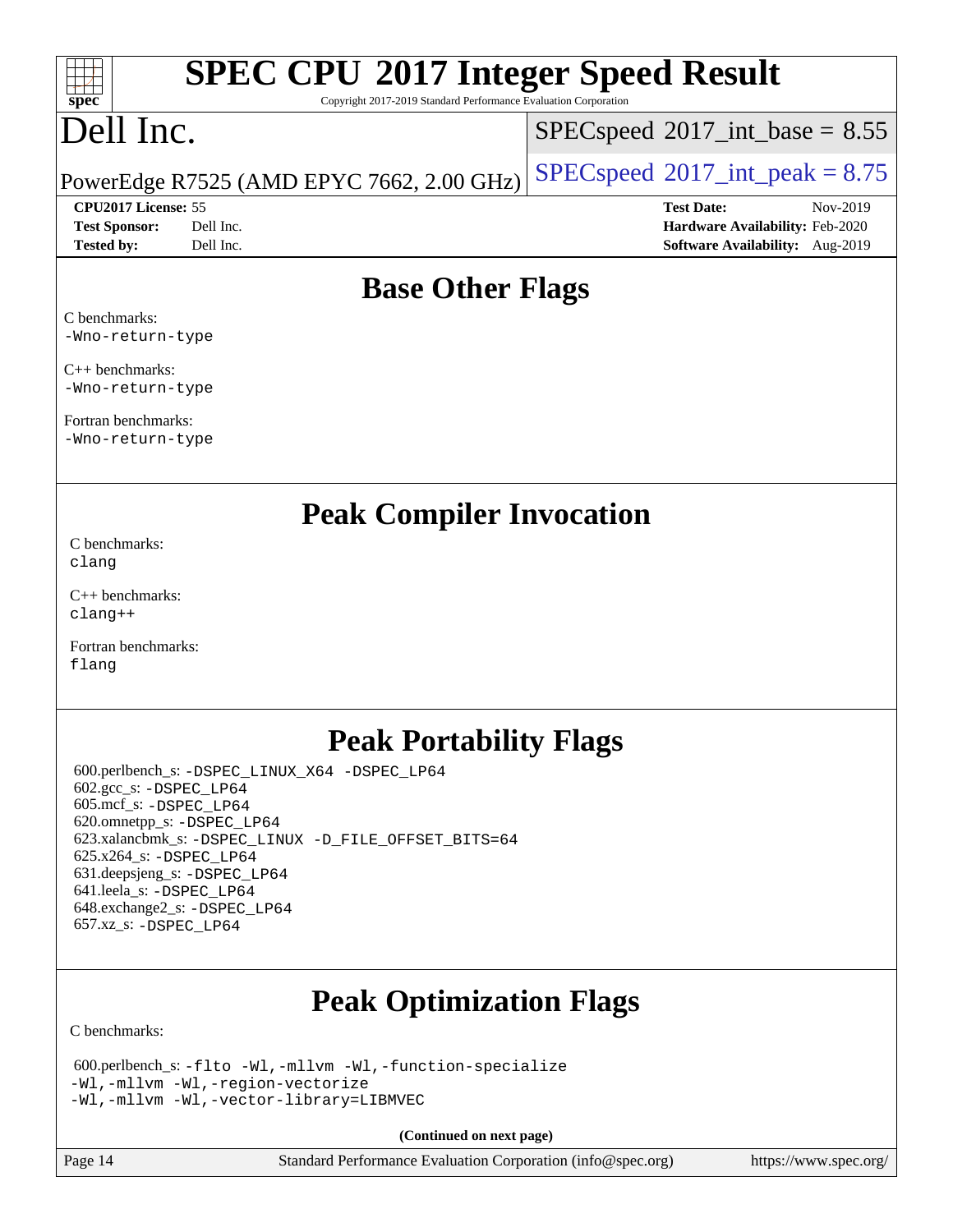#### $\pm\pm\tau$ **[spec](http://www.spec.org/)**

# **[SPEC CPU](http://www.spec.org/auto/cpu2017/Docs/result-fields.html#SPECCPU2017IntegerSpeedResult)[2017 Integer Speed Result](http://www.spec.org/auto/cpu2017/Docs/result-fields.html#SPECCPU2017IntegerSpeedResult)**

Copyright 2017-2019 Standard Performance Evaluation Corporation

## Dell Inc.

 $SPECspeed^{\circledcirc}2017\_int\_base = 8.55$  $SPECspeed^{\circledcirc}2017\_int\_base = 8.55$ 

PowerEdge R7525 (AMD EPYC 7662, 2.00 GHz)  $\left|$  [SPECspeed](http://www.spec.org/auto/cpu2017/Docs/result-fields.html#SPECspeed2017intpeak)®[2017\\_int\\_peak = 8](http://www.spec.org/auto/cpu2017/Docs/result-fields.html#SPECspeed2017intpeak).75

**[CPU2017 License:](http://www.spec.org/auto/cpu2017/Docs/result-fields.html#CPU2017License)** 55 **[Test Date:](http://www.spec.org/auto/cpu2017/Docs/result-fields.html#TestDate)** Nov-2019 **[Test Sponsor:](http://www.spec.org/auto/cpu2017/Docs/result-fields.html#TestSponsor)** Dell Inc. **[Hardware Availability:](http://www.spec.org/auto/cpu2017/Docs/result-fields.html#HardwareAvailability)** Feb-2020 **[Tested by:](http://www.spec.org/auto/cpu2017/Docs/result-fields.html#Testedby)** Dell Inc. **[Software Availability:](http://www.spec.org/auto/cpu2017/Docs/result-fields.html#SoftwareAvailability)** Aug-2019

#### **[Base Other Flags](http://www.spec.org/auto/cpu2017/Docs/result-fields.html#BaseOtherFlags)**

[C benchmarks:](http://www.spec.org/auto/cpu2017/Docs/result-fields.html#Cbenchmarks) [-Wno-return-type](http://www.spec.org/cpu2017/results/res2019q4/cpu2017-20191208-20214.flags.html#user_CCbase_F-Waocc-no-return-type)

[C++ benchmarks:](http://www.spec.org/auto/cpu2017/Docs/result-fields.html#CXXbenchmarks) [-Wno-return-type](http://www.spec.org/cpu2017/results/res2019q4/cpu2017-20191208-20214.flags.html#user_CXXbase_F-Waocc-no-return-type)

[Fortran benchmarks](http://www.spec.org/auto/cpu2017/Docs/result-fields.html#Fortranbenchmarks): [-Wno-return-type](http://www.spec.org/cpu2017/results/res2019q4/cpu2017-20191208-20214.flags.html#user_FCbase_F-Waocc-no-return-type)

#### **[Peak Compiler Invocation](http://www.spec.org/auto/cpu2017/Docs/result-fields.html#PeakCompilerInvocation)**

[C benchmarks](http://www.spec.org/auto/cpu2017/Docs/result-fields.html#Cbenchmarks): [clang](http://www.spec.org/cpu2017/results/res2019q4/cpu2017-20191208-20214.flags.html#user_CCpeak_clang-c)

[C++ benchmarks:](http://www.spec.org/auto/cpu2017/Docs/result-fields.html#CXXbenchmarks) [clang++](http://www.spec.org/cpu2017/results/res2019q4/cpu2017-20191208-20214.flags.html#user_CXXpeak_clang-cpp)

[Fortran benchmarks](http://www.spec.org/auto/cpu2017/Docs/result-fields.html#Fortranbenchmarks): [flang](http://www.spec.org/cpu2017/results/res2019q4/cpu2017-20191208-20214.flags.html#user_FCpeak_flang)

#### **[Peak Portability Flags](http://www.spec.org/auto/cpu2017/Docs/result-fields.html#PeakPortabilityFlags)**

 600.perlbench\_s: [-DSPEC\\_LINUX\\_X64](http://www.spec.org/cpu2017/results/res2019q4/cpu2017-20191208-20214.flags.html#b600.perlbench_s_peakPORTABILITY_DSPEC_LINUX_X64) [-DSPEC\\_LP64](http://www.spec.org/cpu2017/results/res2019q4/cpu2017-20191208-20214.flags.html#b600.perlbench_s_peakEXTRA_PORTABILITY_DSPEC_LP64) 602.gcc\_s: [-DSPEC\\_LP64](http://www.spec.org/cpu2017/results/res2019q4/cpu2017-20191208-20214.flags.html#suite_peakEXTRA_PORTABILITY602_gcc_s_DSPEC_LP64) 605.mcf\_s: [-DSPEC\\_LP64](http://www.spec.org/cpu2017/results/res2019q4/cpu2017-20191208-20214.flags.html#suite_peakEXTRA_PORTABILITY605_mcf_s_DSPEC_LP64) 620.omnetpp\_s: [-DSPEC\\_LP64](http://www.spec.org/cpu2017/results/res2019q4/cpu2017-20191208-20214.flags.html#suite_peakEXTRA_PORTABILITY620_omnetpp_s_DSPEC_LP64) 623.xalancbmk\_s: [-DSPEC\\_LINUX](http://www.spec.org/cpu2017/results/res2019q4/cpu2017-20191208-20214.flags.html#b623.xalancbmk_s_peakPORTABILITY_DSPEC_LINUX) [-D\\_FILE\\_OFFSET\\_BITS=64](http://www.spec.org/cpu2017/results/res2019q4/cpu2017-20191208-20214.flags.html#user_peakEXTRA_PORTABILITY623_xalancbmk_s_F-D_FILE_OFFSET_BITS_5ae949a99b284ddf4e95728d47cb0843d81b2eb0e18bdfe74bbf0f61d0b064f4bda2f10ea5eb90e1dcab0e84dbc592acfc5018bc955c18609f94ddb8d550002c) 625.x264\_s: [-DSPEC\\_LP64](http://www.spec.org/cpu2017/results/res2019q4/cpu2017-20191208-20214.flags.html#suite_peakEXTRA_PORTABILITY625_x264_s_DSPEC_LP64) 631.deepsjeng\_s: [-DSPEC\\_LP64](http://www.spec.org/cpu2017/results/res2019q4/cpu2017-20191208-20214.flags.html#suite_peakEXTRA_PORTABILITY631_deepsjeng_s_DSPEC_LP64) 641.leela\_s: [-DSPEC\\_LP64](http://www.spec.org/cpu2017/results/res2019q4/cpu2017-20191208-20214.flags.html#suite_peakEXTRA_PORTABILITY641_leela_s_DSPEC_LP64) 648.exchange2\_s: [-DSPEC\\_LP64](http://www.spec.org/cpu2017/results/res2019q4/cpu2017-20191208-20214.flags.html#suite_peakEXTRA_PORTABILITY648_exchange2_s_DSPEC_LP64) 657.xz\_s: [-DSPEC\\_LP64](http://www.spec.org/cpu2017/results/res2019q4/cpu2017-20191208-20214.flags.html#suite_peakEXTRA_PORTABILITY657_xz_s_DSPEC_LP64)

## **[Peak Optimization Flags](http://www.spec.org/auto/cpu2017/Docs/result-fields.html#PeakOptimizationFlags)**

[C benchmarks](http://www.spec.org/auto/cpu2017/Docs/result-fields.html#Cbenchmarks):

| 600.perlbench_s: -flto -Wl,-mllvm -Wl,-function-specialize |
|------------------------------------------------------------|
| -Wl,-mllvm -Wl,-region-vectorize                           |
| -Wl,-mllvm -Wl,-vector-library=LIBMVEC                     |

**(Continued on next page)**

Page 14 Standard Performance Evaluation Corporation [\(info@spec.org\)](mailto:info@spec.org) <https://www.spec.org/>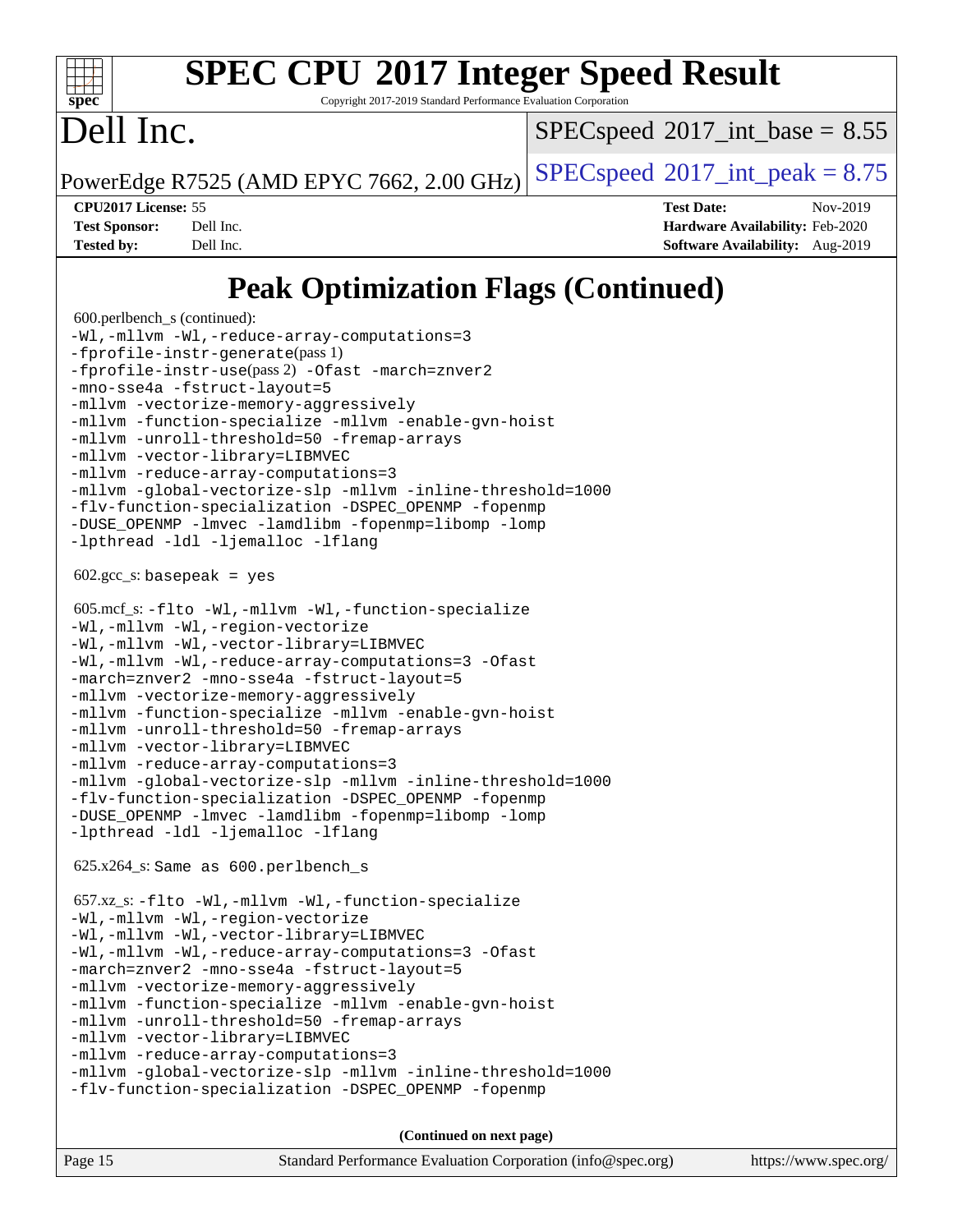

Copyright 2017-2019 Standard Performance Evaluation Corporation

## Dell Inc.

 $SPECspeed^{\circledcirc}2017\_int\_base = 8.55$  $SPECspeed^{\circledcirc}2017\_int\_base = 8.55$ 

PowerEdge R7525 (AMD EPYC 7662, 2.00 GHz)  $\left|$  [SPECspeed](http://www.spec.org/auto/cpu2017/Docs/result-fields.html#SPECspeed2017intpeak)®[2017\\_int\\_peak = 8](http://www.spec.org/auto/cpu2017/Docs/result-fields.html#SPECspeed2017intpeak).75

**[CPU2017 License:](http://www.spec.org/auto/cpu2017/Docs/result-fields.html#CPU2017License)** 55 **[Test Date:](http://www.spec.org/auto/cpu2017/Docs/result-fields.html#TestDate)** Nov-2019 **[Test Sponsor:](http://www.spec.org/auto/cpu2017/Docs/result-fields.html#TestSponsor)** Dell Inc. **[Hardware Availability:](http://www.spec.org/auto/cpu2017/Docs/result-fields.html#HardwareAvailability)** Feb-2020 **[Tested by:](http://www.spec.org/auto/cpu2017/Docs/result-fields.html#Testedby)** Dell Inc. **[Software Availability:](http://www.spec.org/auto/cpu2017/Docs/result-fields.html#SoftwareAvailability)** Aug-2019

### **[Peak Optimization Flags \(Continued\)](http://www.spec.org/auto/cpu2017/Docs/result-fields.html#PeakOptimizationFlags)**

```
 600.perlbench_s (continued):
-Wl,-mllvm -Wl,-reduce-array-computations=3
-fprofile-instr-generate(pass 1)
-fprofile-instr-use(pass 2) -Ofast -march=znver2
-mno-sse4a -fstruct-layout=5
-mllvm -vectorize-memory-aggressively
-mllvm -function-specialize -mllvm -enable-gvn-hoist
-mllvm -unroll-threshold=50 -fremap-arrays
-mllvm -vector-library=LIBMVEC
-mllvm -reduce-array-computations=3
-mllvm -global-vectorize-slp -mllvm -inline-threshold=1000
-flv-function-specialization -DSPEC_OPENMP -fopenmp
-DUSE_OPENMP -lmvec -lamdlibm -fopenmp=libomp -lomp
-lpthread -ldl -ljemalloc -lflang
602.\text{gcc}\_\text{s}: basepeak = yes
 605.mcf_s: -flto -Wl,-mllvm -Wl,-function-specialize
-Wl,-mllvm -Wl,-region-vectorize
-Wl,-mllvm -Wl,-vector-library=LIBMVEC
-Wl,-mllvm -Wl,-reduce-array-computations=3 -Ofast
-march=znver2 -mno-sse4a -fstruct-layout=5
-mllvm -vectorize-memory-aggressively
-mllvm -function-specialize -mllvm -enable-gvn-hoist
-mllvm -unroll-threshold=50 -fremap-arrays
-mllvm -vector-library=LIBMVEC
-mllvm -reduce-array-computations=3
-mllvm -global-vectorize-slp -mllvm -inline-threshold=1000
-flv-function-specialization -DSPEC_OPENMP -fopenmp
-DUSE_OPENMP -lmvec -lamdlibm -fopenmp=libomp -lomp
-lpthread -ldl -ljemalloc -lflang
 625.x264_s: Same as 600.perlbench_s
 657.xz_s: -flto -Wl,-mllvm -Wl,-function-specialize
-Wl,-mllvm -Wl,-region-vectorize
-Wl,-mllvm -Wl,-vector-library=LIBMVEC
-Wl,-mllvm -Wl,-reduce-array-computations=3 -Ofast
-march=znver2 -mno-sse4a -fstruct-layout=5
-mllvm -vectorize-memory-aggressively
-mllvm -function-specialize -mllvm -enable-gvn-hoist
-mllvm -unroll-threshold=50 -fremap-arrays
-mllvm -vector-library=LIBMVEC
-mllvm -reduce-array-computations=3
-mllvm -global-vectorize-slp -mllvm -inline-threshold=1000
-flv-function-specialization -DSPEC_OPENMP -fopenmp
```
**(Continued on next page)**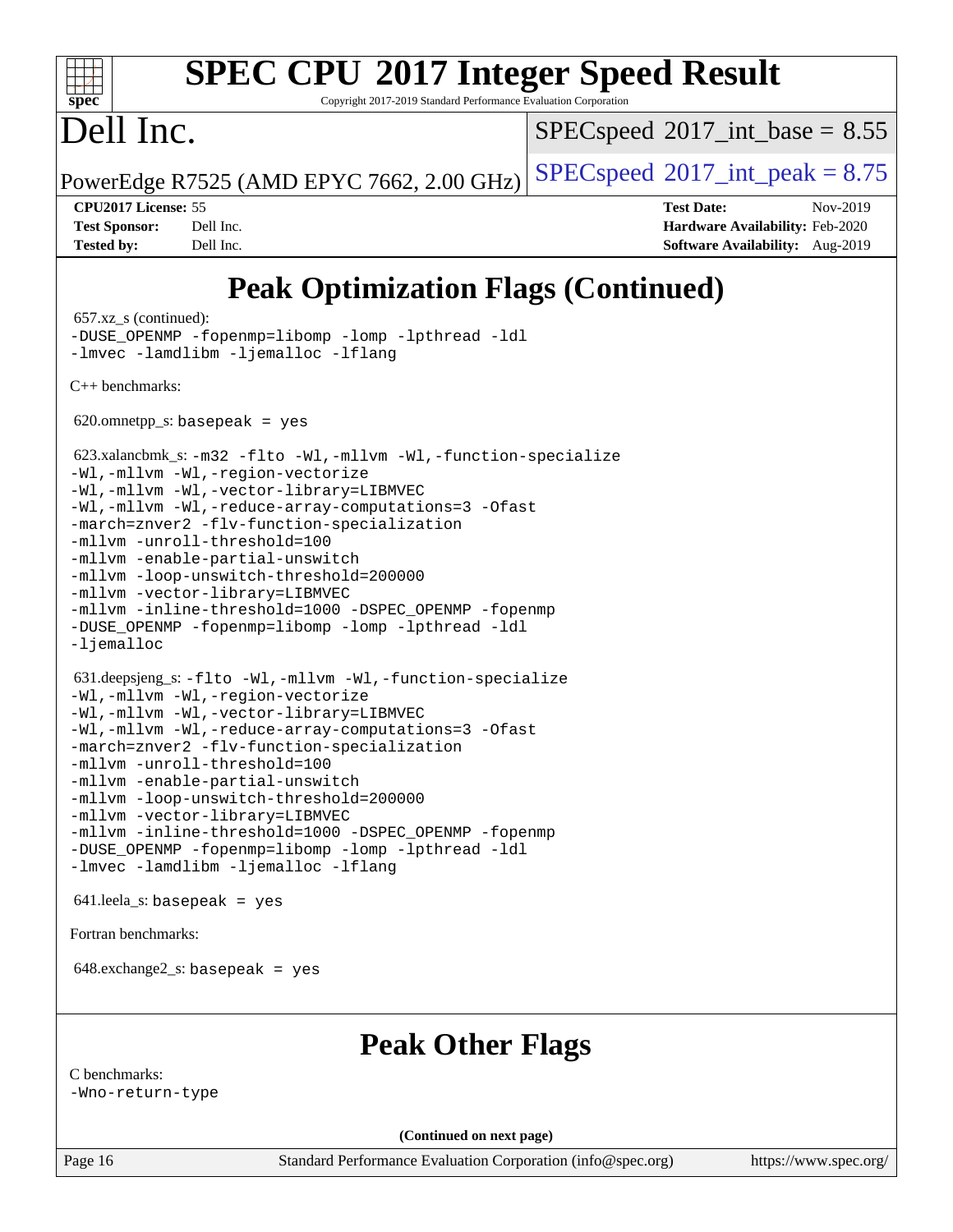#### dd h **[spec](http://www.spec.org/)**

# **[SPEC CPU](http://www.spec.org/auto/cpu2017/Docs/result-fields.html#SPECCPU2017IntegerSpeedResult)[2017 Integer Speed Result](http://www.spec.org/auto/cpu2017/Docs/result-fields.html#SPECCPU2017IntegerSpeedResult)**

Copyright 2017-2019 Standard Performance Evaluation Corporation

## Dell Inc.

 $SPECspeed^{\circledcirc}2017\_int\_base = 8.55$  $SPECspeed^{\circledcirc}2017\_int\_base = 8.55$ 

PowerEdge R7525 (AMD EPYC 7662, 2.00 GHz)  $\left|$  [SPECspeed](http://www.spec.org/auto/cpu2017/Docs/result-fields.html#SPECspeed2017intpeak)®[2017\\_int\\_peak = 8](http://www.spec.org/auto/cpu2017/Docs/result-fields.html#SPECspeed2017intpeak).75

**[CPU2017 License:](http://www.spec.org/auto/cpu2017/Docs/result-fields.html#CPU2017License)** 55 **[Test Date:](http://www.spec.org/auto/cpu2017/Docs/result-fields.html#TestDate)** Nov-2019 **[Test Sponsor:](http://www.spec.org/auto/cpu2017/Docs/result-fields.html#TestSponsor)** Dell Inc. **[Hardware Availability:](http://www.spec.org/auto/cpu2017/Docs/result-fields.html#HardwareAvailability)** Feb-2020 **[Tested by:](http://www.spec.org/auto/cpu2017/Docs/result-fields.html#Testedby)** Dell Inc. **[Software Availability:](http://www.spec.org/auto/cpu2017/Docs/result-fields.html#SoftwareAvailability)** Aug-2019

## **[Peak Optimization Flags \(Continued\)](http://www.spec.org/auto/cpu2017/Docs/result-fields.html#PeakOptimizationFlags)**

 657.xz\_s (continued): [-DUSE\\_OPENMP](http://www.spec.org/cpu2017/results/res2019q4/cpu2017-20191208-20214.flags.html#user_peakEXTRA_OPTIMIZE657_xz_s_F-DUSE_OPENMP) [-fopenmp=libomp](http://www.spec.org/cpu2017/results/res2019q4/cpu2017-20191208-20214.flags.html#user_peakEXTRA_LIBS657_xz_s_aocc-fopenmp_3eb6ab80166bcc84161ff8c20c8d5bc344f88119f45620444596454f7d72e99b7a0ceefc2d1b4d190bd07306bbfdfc20f11f5a2dc69c9b03c72239f8406741c3) [-lomp](http://www.spec.org/cpu2017/results/res2019q4/cpu2017-20191208-20214.flags.html#user_peakEXTRA_LIBS657_xz_s_F-lomp) [-lpthread](http://www.spec.org/cpu2017/results/res2019q4/cpu2017-20191208-20214.flags.html#user_peakEXTRA_LIBS657_xz_s_F-lpthread) [-ldl](http://www.spec.org/cpu2017/results/res2019q4/cpu2017-20191208-20214.flags.html#user_peakEXTRA_LIBS657_xz_s_F-ldl) [-lmvec](http://www.spec.org/cpu2017/results/res2019q4/cpu2017-20191208-20214.flags.html#user_peakEXTRA_LIBS657_xz_s_F-lmvec) [-lamdlibm](http://www.spec.org/cpu2017/results/res2019q4/cpu2017-20191208-20214.flags.html#user_peakEXTRA_LIBS657_xz_s_F-lamdlibm) [-ljemalloc](http://www.spec.org/cpu2017/results/res2019q4/cpu2017-20191208-20214.flags.html#user_peakEXTRA_LIBS657_xz_s_jemalloc-lib) [-lflang](http://www.spec.org/cpu2017/results/res2019q4/cpu2017-20191208-20214.flags.html#user_peakEXTRA_LIBS657_xz_s_F-lflang) [C++ benchmarks:](http://www.spec.org/auto/cpu2017/Docs/result-fields.html#CXXbenchmarks) 620.omnetpp\_s: basepeak = yes 623.xalancbmk\_s: [-m32](http://www.spec.org/cpu2017/results/res2019q4/cpu2017-20191208-20214.flags.html#user_peakCXXLD623_xalancbmk_s_F-m32) [-flto](http://www.spec.org/cpu2017/results/res2019q4/cpu2017-20191208-20214.flags.html#user_peakCXXOPTIMIZELDFLAGS623_xalancbmk_s_aocc-flto) [-Wl,-mllvm -Wl,-function-specialize](http://www.spec.org/cpu2017/results/res2019q4/cpu2017-20191208-20214.flags.html#user_peakLDFLAGS623_xalancbmk_s_F-function-specialize_7e7e661e57922243ee67c9a1251cb8910e607325179a0ce7f2884e09a6f5d4a5ef0ae4f37e8a2a11c95fc48e931f06dc2b6016f14b511fcb441e048bef1b065a) [-Wl,-mllvm -Wl,-region-vectorize](http://www.spec.org/cpu2017/results/res2019q4/cpu2017-20191208-20214.flags.html#user_peakLDFLAGS623_xalancbmk_s_F-region-vectorize_fb6c6b5aa293c88efc6c7c2b52b20755e943585b1fe8658c35afef78727fff56e1a56891413c30e36b8e2a6f9a71126986319243e80eb6110b78b288f533c52b) [-Wl,-mllvm -Wl,-vector-library=LIBMVEC](http://www.spec.org/cpu2017/results/res2019q4/cpu2017-20191208-20214.flags.html#user_peakLDFLAGS623_xalancbmk_s_F-use-vector-library_0a14b27fae317f283640384a31f7bfcc2bd4c1d0b5cfc618a3a430800c9b20217b00f61303eff223a3251b4f06ffbc9739dc5296db9d1fbb9ad24a3939d86d66) [-Wl,-mllvm -Wl,-reduce-array-computations=3](http://www.spec.org/cpu2017/results/res2019q4/cpu2017-20191208-20214.flags.html#user_peakLDFLAGS623_xalancbmk_s_F-reduce-array-computations_b882aefe7a5dda4e33149f6299762b9a720dace3e498e13756f4c04e5a19edf5315c1f3993de2e61ec41e8c206231f84e05da7040e1bb5d69ba27d10a12507e4) [-Ofast](http://www.spec.org/cpu2017/results/res2019q4/cpu2017-20191208-20214.flags.html#user_peakCXXOPTIMIZE623_xalancbmk_s_aocc-Ofast) [-march=znver2](http://www.spec.org/cpu2017/results/res2019q4/cpu2017-20191208-20214.flags.html#user_peakCXXOPTIMIZE623_xalancbmk_s_aocc-march_3e2e19cff2eeef60c5d90b059483627c9ea47eca6d66670dbd53f9185f6439e27eb5e104cf773e9e8ab18c8842ce63e461a3e948d0214bd567ef3ade411bf467) [-flv-function-specialization](http://www.spec.org/cpu2017/results/res2019q4/cpu2017-20191208-20214.flags.html#user_peakCXXOPTIMIZE623_xalancbmk_s_F-flv-function-specialization) [-mllvm -unroll-threshold=100](http://www.spec.org/cpu2017/results/res2019q4/cpu2017-20191208-20214.flags.html#user_peakCXXOPTIMIZE623_xalancbmk_s_F-unroll-threshold_2755d0c78138845d361fa1543e3a063fffa198df9b3edf0cfb856bbc88a81e1769b12ac7a550c5d35197be55360db1a3f95a8d1304df999456cabf5120c45168) [-mllvm -enable-partial-unswitch](http://www.spec.org/cpu2017/results/res2019q4/cpu2017-20191208-20214.flags.html#user_peakCXXOPTIMIZE623_xalancbmk_s_F-enable-partial-unswitch_6e1c33f981d77963b1eaf834973128a7f33ce3f8e27f54689656697a35e89dcc875281e0e6283d043e32f367dcb605ba0e307a92e830f7e326789fa6c61b35d3) [-mllvm -loop-unswitch-threshold=200000](http://www.spec.org/cpu2017/results/res2019q4/cpu2017-20191208-20214.flags.html#user_peakCXXOPTIMIZE623_xalancbmk_s_F-loop-unswitch-threshold_f9a82ae3270e55b5fbf79d0d96ee93606b73edbbe527d20b18b7bff1a3a146ad50cfc7454c5297978340ae9213029016a7d16221274d672d3f7f42ed25274e1d) [-mllvm -vector-library=LIBMVEC](http://www.spec.org/cpu2017/results/res2019q4/cpu2017-20191208-20214.flags.html#user_peakCXXOPTIMIZE623_xalancbmk_s_F-use-vector-library_e584e20b4f7ec96aa109254b65d8e01d864f3d68580371b9d93ed7c338191d4cfce20c3c864632264effc6bbe4c7c38153d02096a342ee92501c4a53204a7871) [-mllvm -inline-threshold=1000](http://www.spec.org/cpu2017/results/res2019q4/cpu2017-20191208-20214.flags.html#user_peakCXXOPTIMIZE623_xalancbmk_s_dragonegg-llvm-inline-threshold_b7832241b0a6397e4ecdbaf0eb7defdc10f885c2a282fa3240fdc99844d543fda39cf8a4a9dccf68cf19b5438ac3b455264f478df15da0f4988afa40d8243bab) -DSPEC OPENMP [-fopenmp](http://www.spec.org/cpu2017/results/res2019q4/cpu2017-20191208-20214.flags.html#user_peakEXTRA_OPTIMIZE623_xalancbmk_s_aocc-fopenmp) -DUSE OPENMP [-fopenmp=libomp](http://www.spec.org/cpu2017/results/res2019q4/cpu2017-20191208-20214.flags.html#user_peakEXTRA_LIBS623_xalancbmk_s_aocc-fopenmp_3eb6ab80166bcc84161ff8c20c8d5bc344f88119f45620444596454f7d72e99b7a0ceefc2d1b4d190bd07306bbfdfc20f11f5a2dc69c9b03c72239f8406741c3) [-lomp](http://www.spec.org/cpu2017/results/res2019q4/cpu2017-20191208-20214.flags.html#user_peakEXTRA_LIBS623_xalancbmk_s_F-lomp) [-lpthread](http://www.spec.org/cpu2017/results/res2019q4/cpu2017-20191208-20214.flags.html#user_peakEXTRA_LIBS623_xalancbmk_s_F-lpthread) [-ldl](http://www.spec.org/cpu2017/results/res2019q4/cpu2017-20191208-20214.flags.html#user_peakEXTRA_LIBS623_xalancbmk_s_F-ldl) [-ljemalloc](http://www.spec.org/cpu2017/results/res2019q4/cpu2017-20191208-20214.flags.html#user_peakEXTRA_LIBS623_xalancbmk_s_jemalloc-lib) 631.deepsjeng\_s: [-flto](http://www.spec.org/cpu2017/results/res2019q4/cpu2017-20191208-20214.flags.html#user_peakCXXOPTIMIZELDFLAGS631_deepsjeng_s_aocc-flto) [-Wl,-mllvm -Wl,-function-specialize](http://www.spec.org/cpu2017/results/res2019q4/cpu2017-20191208-20214.flags.html#user_peakLDFLAGS631_deepsjeng_s_F-function-specialize_7e7e661e57922243ee67c9a1251cb8910e607325179a0ce7f2884e09a6f5d4a5ef0ae4f37e8a2a11c95fc48e931f06dc2b6016f14b511fcb441e048bef1b065a) [-Wl,-mllvm -Wl,-region-vectorize](http://www.spec.org/cpu2017/results/res2019q4/cpu2017-20191208-20214.flags.html#user_peakLDFLAGS631_deepsjeng_s_F-region-vectorize_fb6c6b5aa293c88efc6c7c2b52b20755e943585b1fe8658c35afef78727fff56e1a56891413c30e36b8e2a6f9a71126986319243e80eb6110b78b288f533c52b) [-Wl,-mllvm -Wl,-vector-library=LIBMVEC](http://www.spec.org/cpu2017/results/res2019q4/cpu2017-20191208-20214.flags.html#user_peakLDFLAGS631_deepsjeng_s_F-use-vector-library_0a14b27fae317f283640384a31f7bfcc2bd4c1d0b5cfc618a3a430800c9b20217b00f61303eff223a3251b4f06ffbc9739dc5296db9d1fbb9ad24a3939d86d66) [-Wl,-mllvm -Wl,-reduce-array-computations=3](http://www.spec.org/cpu2017/results/res2019q4/cpu2017-20191208-20214.flags.html#user_peakLDFLAGS631_deepsjeng_s_F-reduce-array-computations_b882aefe7a5dda4e33149f6299762b9a720dace3e498e13756f4c04e5a19edf5315c1f3993de2e61ec41e8c206231f84e05da7040e1bb5d69ba27d10a12507e4) [-Ofast](http://www.spec.org/cpu2017/results/res2019q4/cpu2017-20191208-20214.flags.html#user_peakCXXOPTIMIZE631_deepsjeng_s_aocc-Ofast) [-march=znver2](http://www.spec.org/cpu2017/results/res2019q4/cpu2017-20191208-20214.flags.html#user_peakCXXOPTIMIZE631_deepsjeng_s_aocc-march_3e2e19cff2eeef60c5d90b059483627c9ea47eca6d66670dbd53f9185f6439e27eb5e104cf773e9e8ab18c8842ce63e461a3e948d0214bd567ef3ade411bf467) [-flv-function-specialization](http://www.spec.org/cpu2017/results/res2019q4/cpu2017-20191208-20214.flags.html#user_peakCXXOPTIMIZE631_deepsjeng_s_F-flv-function-specialization) [-mllvm -unroll-threshold=100](http://www.spec.org/cpu2017/results/res2019q4/cpu2017-20191208-20214.flags.html#user_peakCXXOPTIMIZE631_deepsjeng_s_F-unroll-threshold_2755d0c78138845d361fa1543e3a063fffa198df9b3edf0cfb856bbc88a81e1769b12ac7a550c5d35197be55360db1a3f95a8d1304df999456cabf5120c45168) [-mllvm -enable-partial-unswitch](http://www.spec.org/cpu2017/results/res2019q4/cpu2017-20191208-20214.flags.html#user_peakCXXOPTIMIZE631_deepsjeng_s_F-enable-partial-unswitch_6e1c33f981d77963b1eaf834973128a7f33ce3f8e27f54689656697a35e89dcc875281e0e6283d043e32f367dcb605ba0e307a92e830f7e326789fa6c61b35d3) [-mllvm -loop-unswitch-threshold=200000](http://www.spec.org/cpu2017/results/res2019q4/cpu2017-20191208-20214.flags.html#user_peakCXXOPTIMIZE631_deepsjeng_s_F-loop-unswitch-threshold_f9a82ae3270e55b5fbf79d0d96ee93606b73edbbe527d20b18b7bff1a3a146ad50cfc7454c5297978340ae9213029016a7d16221274d672d3f7f42ed25274e1d) [-mllvm -vector-library=LIBMVEC](http://www.spec.org/cpu2017/results/res2019q4/cpu2017-20191208-20214.flags.html#user_peakCXXOPTIMIZE631_deepsjeng_s_F-use-vector-library_e584e20b4f7ec96aa109254b65d8e01d864f3d68580371b9d93ed7c338191d4cfce20c3c864632264effc6bbe4c7c38153d02096a342ee92501c4a53204a7871) [-mllvm -inline-threshold=1000](http://www.spec.org/cpu2017/results/res2019q4/cpu2017-20191208-20214.flags.html#user_peakCXXOPTIMIZE631_deepsjeng_s_dragonegg-llvm-inline-threshold_b7832241b0a6397e4ecdbaf0eb7defdc10f885c2a282fa3240fdc99844d543fda39cf8a4a9dccf68cf19b5438ac3b455264f478df15da0f4988afa40d8243bab) -DSPEC OPENMP [-fopenmp](http://www.spec.org/cpu2017/results/res2019q4/cpu2017-20191208-20214.flags.html#user_peakEXTRA_OPTIMIZE631_deepsjeng_s_aocc-fopenmp) [-DUSE\\_OPENMP](http://www.spec.org/cpu2017/results/res2019q4/cpu2017-20191208-20214.flags.html#user_peakEXTRA_OPTIMIZE631_deepsjeng_s_F-DUSE_OPENMP) [-fopenmp=libomp](http://www.spec.org/cpu2017/results/res2019q4/cpu2017-20191208-20214.flags.html#user_peakEXTRA_LIBS631_deepsjeng_s_aocc-fopenmp_3eb6ab80166bcc84161ff8c20c8d5bc344f88119f45620444596454f7d72e99b7a0ceefc2d1b4d190bd07306bbfdfc20f11f5a2dc69c9b03c72239f8406741c3) [-lomp](http://www.spec.org/cpu2017/results/res2019q4/cpu2017-20191208-20214.flags.html#user_peakEXTRA_LIBS631_deepsjeng_s_F-lomp) [-lpthread](http://www.spec.org/cpu2017/results/res2019q4/cpu2017-20191208-20214.flags.html#user_peakEXTRA_LIBS631_deepsjeng_s_F-lpthread) [-ldl](http://www.spec.org/cpu2017/results/res2019q4/cpu2017-20191208-20214.flags.html#user_peakEXTRA_LIBS631_deepsjeng_s_F-ldl) [-lmvec](http://www.spec.org/cpu2017/results/res2019q4/cpu2017-20191208-20214.flags.html#user_peakEXTRA_LIBS631_deepsjeng_s_F-lmvec) [-lamdlibm](http://www.spec.org/cpu2017/results/res2019q4/cpu2017-20191208-20214.flags.html#user_peakEXTRA_LIBS631_deepsjeng_s_F-lamdlibm) [-ljemalloc](http://www.spec.org/cpu2017/results/res2019q4/cpu2017-20191208-20214.flags.html#user_peakEXTRA_LIBS631_deepsjeng_s_jemalloc-lib) [-lflang](http://www.spec.org/cpu2017/results/res2019q4/cpu2017-20191208-20214.flags.html#user_peakEXTRA_LIBS631_deepsjeng_s_F-lflang) 641.leela\_s: basepeak = yes [Fortran benchmarks](http://www.spec.org/auto/cpu2017/Docs/result-fields.html#Fortranbenchmarks):  $648$ .exchange $2$ \_s: basepeak = yes **[Peak Other Flags](http://www.spec.org/auto/cpu2017/Docs/result-fields.html#PeakOtherFlags)** [C benchmarks](http://www.spec.org/auto/cpu2017/Docs/result-fields.html#Cbenchmarks): [-Wno-return-type](http://www.spec.org/cpu2017/results/res2019q4/cpu2017-20191208-20214.flags.html#user_CCpeak_F-Waocc-no-return-type)

Page 16 Standard Performance Evaluation Corporation [\(info@spec.org\)](mailto:info@spec.org) <https://www.spec.org/> **(Continued on next page)**